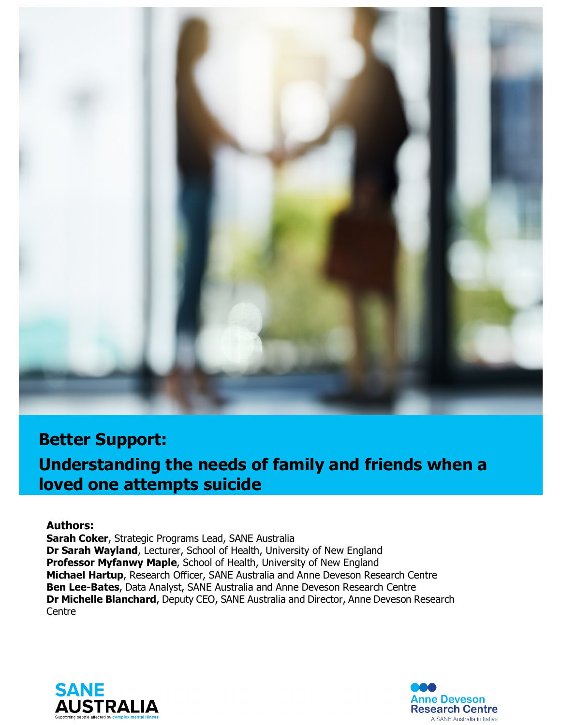

## **Better Support:**

**Understanding the needs of family and friends when a loved one attempts suicide**

#### **Authors:**

**Sarah Coker**, Strategic Programs Lead, SANE Australia<br>**Dr Sarah Wayland**, Lecturer, School of Health, Univer **Dr Sarah Wayland**, Lecturer, School of Health, University of New England **Professor Myfanwy Maple**, School of Health, University of New England **Professor Myfanwy Maple**, School of Health, University of New England<br>**Michael Hartup**, Research Officer, SANE Australia and Anne Deveson Research Centre **Ben Lee-Bates**, Data Analyst, SANE Australia and Anne Deveson Research Centre **Dr Michelle Blanchard**, Deputy CEO, SANE Australia and Director, Anne Deveson Research **Centre** 



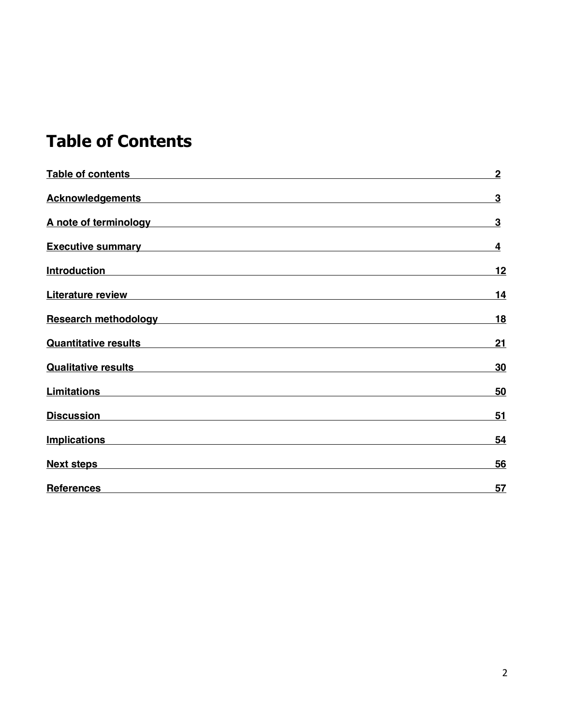# **Table of Contents**

| <b>Table of contents</b><br><u> 1989 - John Stone, amerikansk politiker (* 1989)</u>                                                                                                                                           | $\overline{2}$ |
|--------------------------------------------------------------------------------------------------------------------------------------------------------------------------------------------------------------------------------|----------------|
|                                                                                                                                                                                                                                | 3              |
| A note of terminology experience and a matter of terminology and a matter of terminology and a matter of the s                                                                                                                 | 3              |
| <b>Executive summary Executive Summary</b>                                                                                                                                                                                     | 4              |
| <b>Introduction</b><br><u> 1989 - Johann Stein, mars an deus Amerikaansk kommunister (</u>                                                                                                                                     | 12             |
| <b>Literature review</b>                                                                                                                                                                                                       | <u>14</u>      |
| Research methodology Manual Communication of the control of the control of the control of the control of the control of the control of the control of the control of the control of the control of the control of the control  | <u>18</u>      |
| <b>Quantitative results</b>                                                                                                                                                                                                    | 21             |
| Qualitative results experience and the contract of the contract of the contract of the contract of the contract of the contract of the contract of the contract of the contract of the contract of the contract of the contrac | 30             |
| <b>Limitations</b>                                                                                                                                                                                                             | 50             |
|                                                                                                                                                                                                                                | 51             |
|                                                                                                                                                                                                                                | 54             |
|                                                                                                                                                                                                                                | 56             |
| <b>References</b><br><u> 1989 - Johann John Stone, Amerikaansk politiker († 1908)</u>                                                                                                                                          | 57             |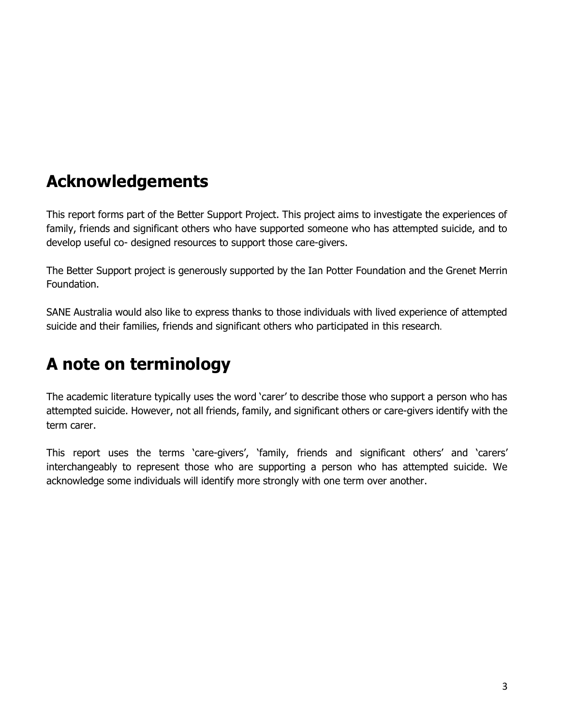# **Acknowledgements**

This report forms part of the Better Support Project. This project aims to investigate the experiences of family, friends and significant others who have supported someone who has attempted suicide, and to develop useful co- designed resources to support those care-givers.

The Better Support project is generously supported by the Ian Potter Foundation and the Grenet Merrin Foundation.

SANE Australia would also like to express thanks to those individuals with lived experience of attempted suicide and their families, friends and significant others who participated in this research.

# **A note on terminology**

The academic literature typically uses the word 'carer' to describe those who support a person who has attempted suicide. However, not all friends, family, and significant others or care-givers identify with the term carer.

This report uses the terms 'care-givers', 'family, friends and significant others' and 'carers' interchangeably to represent those who are supporting a person who has attempted suicide. We acknowledge some individuals will identify more strongly with one term over another.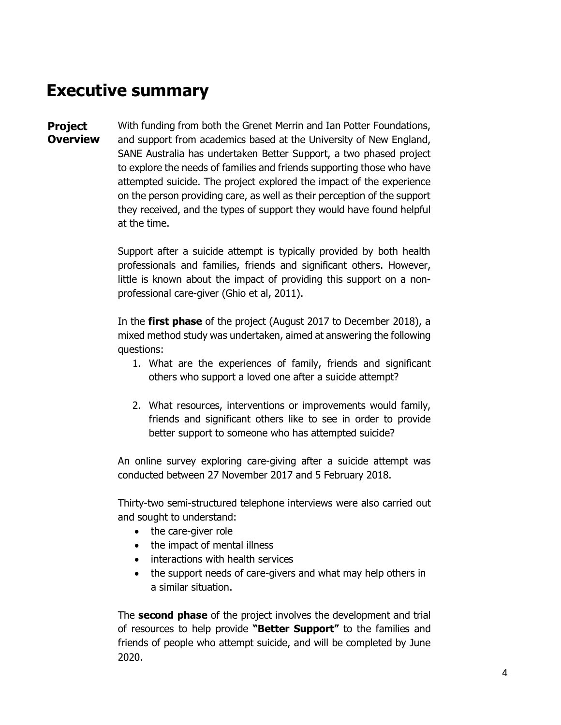# **Executive summary**

With funding from both the Grenet Merrin and Ian Potter Foundations, and support from academics based at the University of New England, SANE Australia has undertaken Better Support, a two phased project to explore the needs of families and friends supporting those who have attempted suicide. The project explored the impact of the experience on the person providing care, as well as their perception of the support they received, and the types of support they would have found helpful at the time. **Project Overview**

> Support after a suicide attempt is typically provided by both health professionals and families, friends and significant others. However, little is known about the impact of providing this support on a nonprofessional care-giver (Ghio et al, 2011).

> In the **first phase** of the project (August 2017 to December 2018), a mixed method study was undertaken, aimed at answering the following questions:

- 1. What are the experiences of family, friends and significant others who support a loved one after a suicide attempt?
- 2. What resources, interventions or improvements would family, friends and significant others like to see in order to provide better support to someone who has attempted suicide?

An online survey exploring care-giving after a suicide attempt was conducted between 27 November 2017 and 5 February 2018.

Thirty-two semi-structured telephone interviews were also carried out and sought to understand:

- the care-giver role
- the impact of mental illness
- interactions with health services
- the support needs of care-givers and what may help others in a similar situation.

The **second phase** of the project involves the development and trial of resources to help provide **"Better Support"** to the families and friends of people who attempt suicide, and will be completed by June 2020.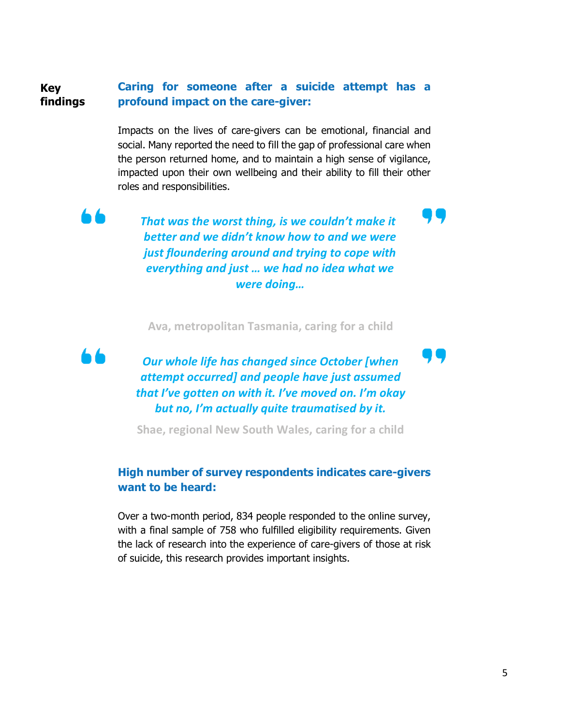#### **Caring for someone after a suicide attempt has a profound impact on the care-giver: Key findings**

Impacts on the lives of care-givers can be emotional, financial and social. Many reported the need to fill the gap of professional care when the person returned home, and to maintain a high sense of vigilance, impacted upon their own wellbeing and their ability to fill their other roles and responsibilities.

╻┢

66

*That was the worst thing, is we couldn't make it better and we didn't know how to and we were just floundering around and trying to cope with everything and just … we had no idea what we were doing…* 

**Ava, metropolitan Tasmania, caring for a child**

*Our whole life has changed since October [when attempt occurred] and people have just assumed that I've gotten on with it. I've moved on. I'm okay but no, I'm actually quite traumatised by it.* 

**Shae, regional New South Wales, caring for a child**

## **High number of survey respondents indicates care-givers want to be heard:**

Over a two-month period, 834 people responded to the online survey, with a final sample of 758 who fulfilled eligibility requirements. Given the lack of research into the experience of care-givers of those at risk of suicide, this research provides important insights.

74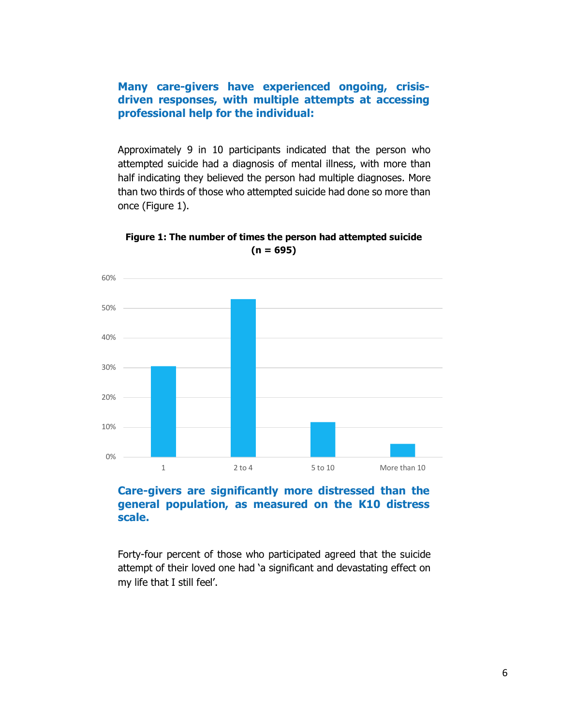**Many care-givers have experienced ongoing, crisisdriven responses, with multiple attempts at accessing professional help for the individual:**

Approximately 9 in 10 participants indicated that the person who attempted suicide had a diagnosis of mental illness, with more than half indicating they believed the person had multiple diagnoses. More than two thirds of those who attempted suicide had done so more than once (Figure 1).



**Figure 1: The number of times the person had attempted suicide (n = 695)**

#### **Care-givers are significantly more distressed than the general population, as measured on the K10 distress scale.**

Forty-four percent of those who participated agreed that the suicide attempt of their loved one had 'a significant and devastating effect on my life that I still feel'.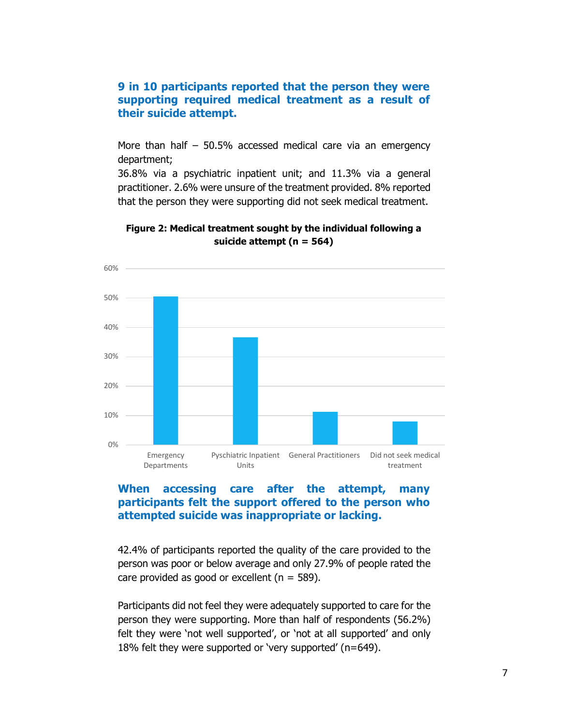#### **9 in 10 participants reported that the person they were supporting required medical treatment as a result of their suicide attempt.**

More than half – 50.5% accessed medical care via an emergency department;

36.8% via a psychiatric inpatient unit; and 11.3% via a general practitioner. 2.6% were unsure of the treatment provided. 8% reported that the person they were supporting did not seek medical treatment.





#### **When accessing care after the attempt, many participants felt the support offered to the person who attempted suicide was inappropriate or lacking.**

42.4% of participants reported the quality of the care provided to the person was poor or below average and only 27.9% of people rated the care provided as good or excellent ( $n = 589$ ).

Participants did not feel they were adequately supported to care for the person they were supporting. More than half of respondents (56.2%) felt they were 'not well supported', or 'not at all supported' and only 18% felt they were supported or 'very supported' (n=649).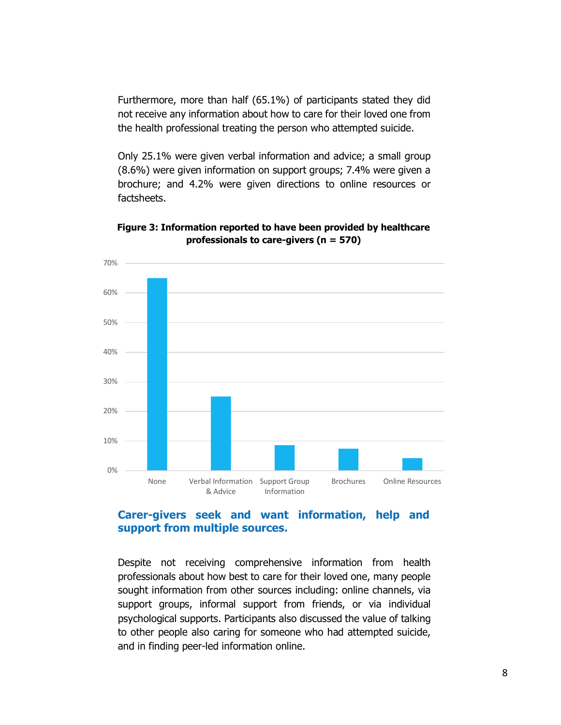Furthermore, more than half (65.1%) of participants stated they did not receive any information about how to care for their loved one from the health professional treating the person who attempted suicide.

Only 25.1% were given verbal information and advice; a small group (8.6%) were given information on support groups; 7.4% were given a brochure; and 4.2% were given directions to online resources or factsheets.





#### **Carer-givers seek and want information, help and support from multiple sources.**

Despite not receiving comprehensive information from health professionals about how best to care for their loved one, many people sought information from other sources including: online channels, via support groups, informal support from friends, or via individual psychological supports. Participants also discussed the value of talking to other people also caring for someone who had attempted suicide, and in finding peer-led information online.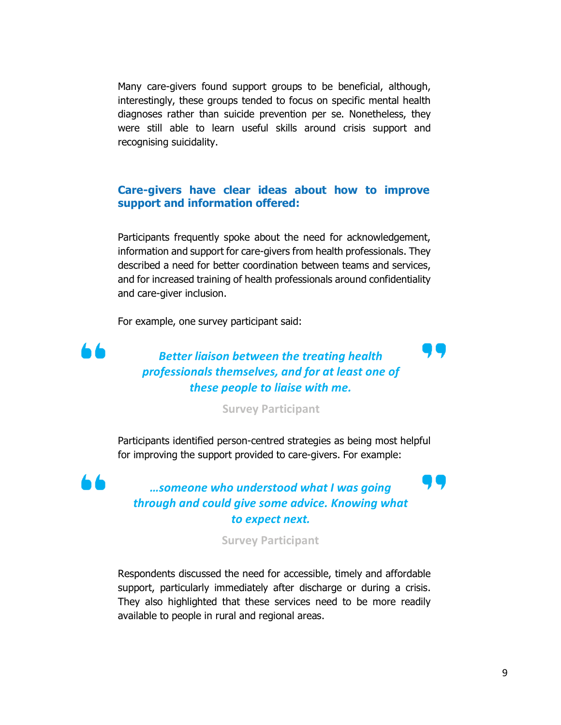Many care-givers found support groups to be beneficial, although, interestingly, these groups tended to focus on specific mental health diagnoses rather than suicide prevention per se. Nonetheless, they were still able to learn useful skills around crisis support and recognising suicidality.

#### **Care-givers have clear ideas about how to improve support and information offered:**

Participants frequently spoke about the need for acknowledgement, information and support for care-givers from health professionals. They described a need for better coordination between teams and services, and for increased training of health professionals around confidentiality and care-giver inclusion.

For example, one survey participant said:

## *Better liaison between the treating health professionals themselves, and for at least one of these people to liaise with me.*

**Survey Participant**

Participants identified person-centred strategies as being most helpful for improving the support provided to care-givers. For example:

*…someone who understood what I was going through and could give some advice. Knowing what to expect next.*

#### **Survey Participant**

Respondents discussed the need for accessible, timely and affordable support, particularly immediately after discharge or during a crisis. They also highlighted that these services need to be more readily available to people in rural and regional areas.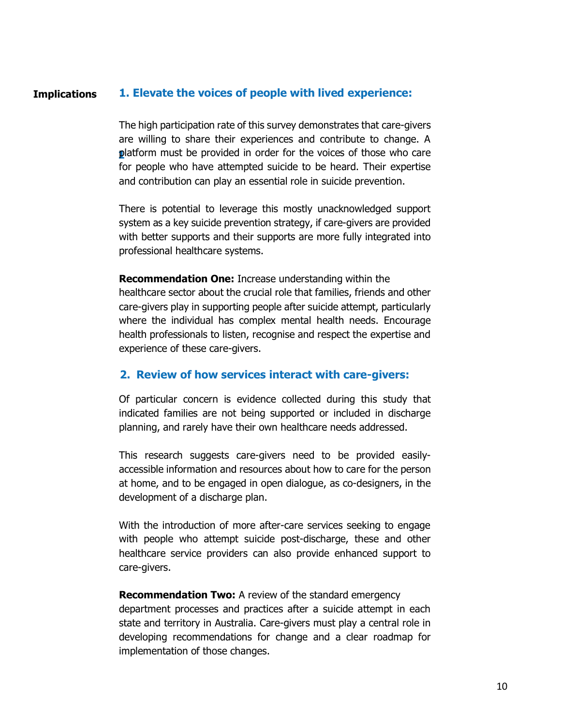#### **1. Elevate the voices of people with lived experience: Implications**

**1** platform must be provided in order for the voices of those who care The high participation rate of this survey demonstrates that care-givers are willing to share their experiences and contribute to change. A for people who have attempted suicide to be heard. Their expertise and contribution can play an essential role in suicide prevention.

There is potential to leverage this mostly unacknowledged support system as a key suicide prevention strategy, if care-givers are provided with better supports and their supports are more fully integrated into professional healthcare systems.

**Recommendation One:** Increase understanding within the healthcare sector about the crucial role that families, friends and other care-givers play in supporting people after suicide attempt, particularly where the individual has complex mental health needs. Encourage health professionals to listen, recognise and respect the expertise and experience of these care-givers.

#### **2. Review of how services interact with care-givers:**

Of particular concern is evidence collected during this study that indicated families are not being supported or included in discharge planning, and rarely have their own healthcare needs addressed.

This research suggests care-givers need to be provided easilyaccessible information and resources about how to care for the person at home, and to be engaged in open dialogue, as co-designers, in the development of a discharge plan.

With the introduction of more after-care services seeking to engage with people who attempt suicide post-discharge, these and other healthcare service providers can also provide enhanced support to care-givers.

**Recommendation Two:** A review of the standard emergency

department processes and practices after a suicide attempt in each state and territory in Australia. Care-givers must play a central role in developing recommendations for change and a clear roadmap for implementation of those changes.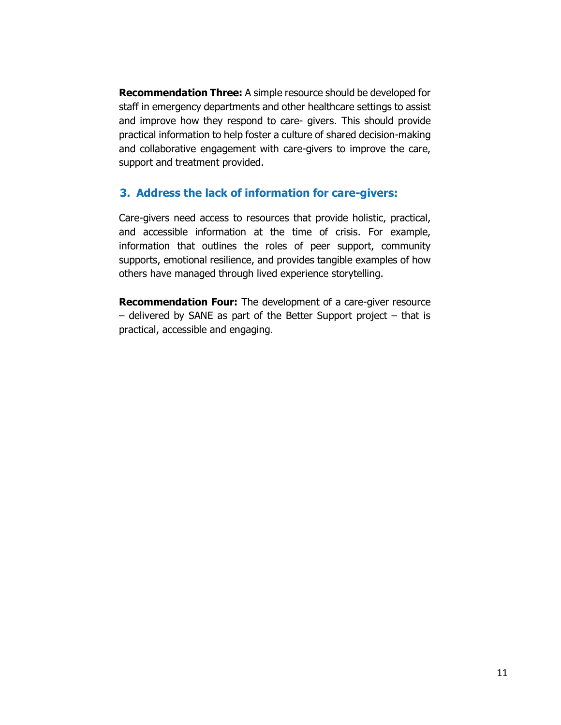**Recommendation Three:** A simple resource should be developed for staff in emergency departments and other healthcare settings to assist and improve how they respond to care- givers. This should provide practical information to help foster a culture of shared decision-making and collaborative engagement with care-givers to improve the care, support and treatment provided.

#### **3. Address the lack of information for care-givers:**

Care-givers need access to resources that provide holistic, practical, and accessible information at the time of crisis. For example, information that outlines the roles of peer support, community supports, emotional resilience, and provides tangible examples of how others have managed through lived experience storytelling.

**Recommendation Four:** The development of a care-giver resource – delivered by SANE as part of the Better Support project – that is practical, accessible and engaging.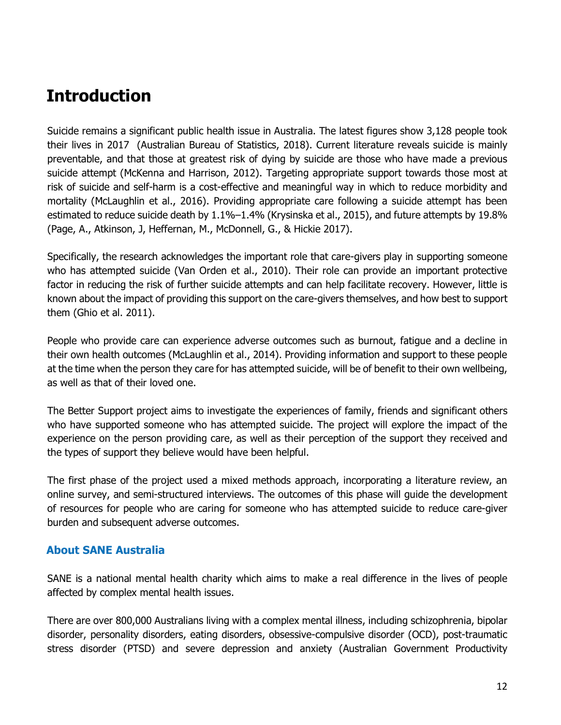# **Introduction**

Suicide remains a significant public health issue in Australia. The latest figures show 3,128 people took their lives in 2017 (Australian Bureau of Statistics, 2018). Current literature reveals suicide is mainly preventable, and that those at greatest risk of dying by suicide are those who have made a previous suicide attempt (McKenna and Harrison, 2012). Targeting appropriate support towards those most at risk of suicide and self-harm is a cost-effective and meaningful way in which to reduce morbidity and mortality (McLaughlin et al., 2016). Providing appropriate care following a suicide attempt has been estimated to reduce suicide death by 1.1%–1.4% (Krysinska et al., 2015), and future attempts by 19.8% (Page, A., Atkinson, J, Heffernan, M., McDonnell, G., & Hickie 2017).

Specifically, the research acknowledges the important role that care-givers play in supporting someone who has attempted suicide (Van Orden et al., 2010). Their role can provide an important protective factor in reducing the risk of further suicide attempts and can help facilitate recovery. However, little is known about the impact of providing this support on the care-givers themselves, and how best to support them (Ghio et al. 2011).

People who provide care can experience adverse outcomes such as burnout, fatigue and a decline in their own health outcomes (McLaughlin et al., 2014). Providing information and support to these people at the time when the person they care for has attempted suicide, will be of benefit to their own wellbeing, as well as that of their loved one.

The Better Support project aims to investigate the experiences of family, friends and significant others who have supported someone who has attempted suicide. The project will explore the impact of the experience on the person providing care, as well as their perception of the support they received and the types of support they believe would have been helpful.

The first phase of the project used a mixed methods approach, incorporating a literature review, an online survey, and semi-structured interviews. The outcomes of this phase will guide the development of resources for people who are caring for someone who has attempted suicide to reduce care-giver burden and subsequent adverse outcomes.

### **About SANE Australia**

SANE is a national mental health charity which aims to make a real difference in the lives of people affected by complex mental health issues.

There are over 800,000 Australians living with a complex mental illness, including schizophrenia, bipolar disorder, personality disorders, eating disorders, obsessive-compulsive disorder (OCD), post-traumatic stress disorder (PTSD) and severe depression and anxiety (Australian Government Productivity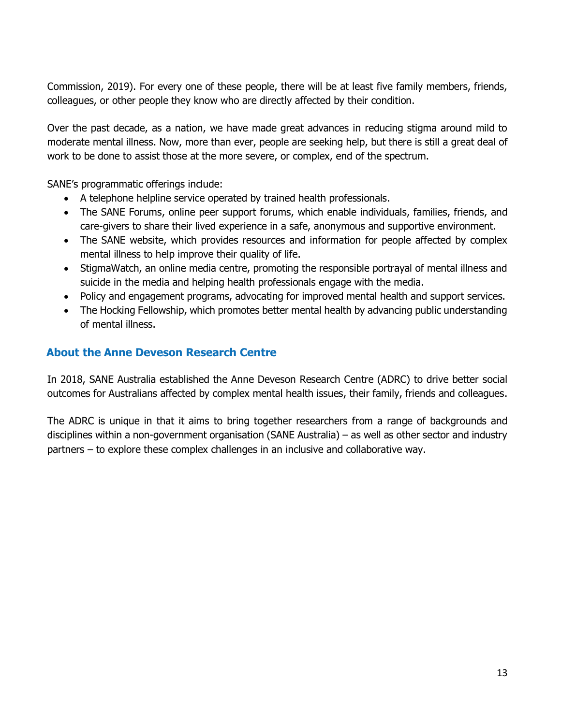Commission, 2019). For every one of these people, there will be at least five family members, friends, colleagues, or other people they know who are directly affected by their condition.

Over the past decade, as a nation, we have made great advances in reducing stigma around mild to moderate mental illness. Now, more than ever, people are seeking help, but there is still a great deal of work to be done to assist those at the more severe, or complex, end of the spectrum.

SANE's programmatic offerings include:

- A telephone helpline service operated by trained health professionals.
- The SANE Forums, online peer support forums, which enable individuals, families, friends, and care-givers to share their lived experience in a safe, anonymous and supportive environment.
- The SANE website, which provides resources and information for people affected by complex mental illness to help improve their quality of life.
- StigmaWatch, an online media centre, promoting the responsible portrayal of mental illness and suicide in the media and helping health professionals engage with the media.
- Policy and engagement programs, advocating for improved mental health and support services.
- The Hocking Fellowship, which promotes better mental health by advancing public understanding of mental illness.

### **About the Anne Deveson Research Centre**

In 2018, SANE Australia established the Anne Deveson Research Centre (ADRC) to drive better social outcomes for Australians affected by complex mental health issues, their family, friends and colleagues.

The ADRC is unique in that it aims to bring together researchers from a range of backgrounds and disciplines within a non-government organisation (SANE Australia) – as well as other sector and industry partners – to explore these complex challenges in an inclusive and collaborative way.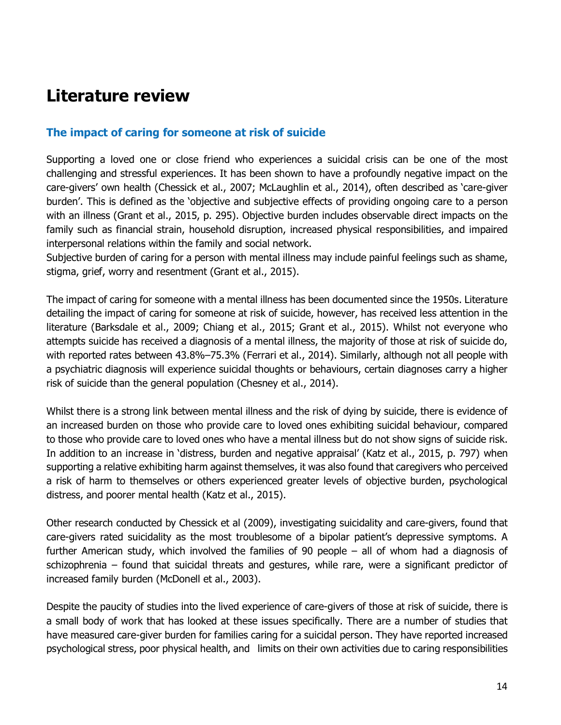# **Literature review**

#### **The impact of caring for someone at risk of suicide**

Supporting a loved one or close friend who experiences a suicidal crisis can be one of the most challenging and stressful experiences. It has been shown to have a profoundly negative impact on the care-givers' own health (Chessick et al., 2007; McLaughlin et al., 2014), often described as 'care-giver burden'. This is defined as the 'objective and subjective effects of providing ongoing care to a person with an illness (Grant et al., 2015, p. 295). Objective burden includes observable direct impacts on the family such as financial strain, household disruption, increased physical responsibilities, and impaired interpersonal relations within the family and social network.

Subjective burden of caring for a person with mental illness may include painful feelings such as shame, stigma, grief, worry and resentment (Grant et al., 2015).

The impact of caring for someone with a mental illness has been documented since the 1950s. Literature detailing the impact of caring for someone at risk of suicide, however, has received less attention in the literature (Barksdale et al., 2009; Chiang et al., 2015; Grant et al., 2015). Whilst not everyone who attempts suicide has received a diagnosis of a mental illness, the majority of those at risk of suicide do, with reported rates between 43.8%–75.3% (Ferrari et al., 2014). Similarly, although not all people with a psychiatric diagnosis will experience suicidal thoughts or behaviours, certain diagnoses carry a higher risk of suicide than the general population (Chesney et al., 2014).

Whilst there is a strong link between mental illness and the risk of dying by suicide, there is evidence of an increased burden on those who provide care to loved ones exhibiting suicidal behaviour, compared to those who provide care to loved ones who have a mental illness but do not show signs of suicide risk. In addition to an increase in 'distress, burden and negative appraisal' (Katz et al., 2015, p. 797) when supporting a relative exhibiting harm against themselves, it was also found that caregivers who perceived a risk of harm to themselves or others experienced greater levels of objective burden, psychological distress, and poorer mental health (Katz et al., 2015).

Other research conducted by Chessick et al (2009), investigating suicidality and care-givers, found that care-givers rated suicidality as the most troublesome of a bipolar patient's depressive symptoms. A further American study, which involved the families of 90 people – all of whom had a diagnosis of schizophrenia – found that suicidal threats and gestures, while rare, were a significant predictor of increased family burden (McDonell et al., 2003).

Despite the paucity of studies into the lived experience of care-givers of those at risk of suicide, there is a small body of work that has looked at these issues specifically. There are a number of studies that have measured care-giver burden for families caring for a suicidal person. They have reported increased psychological stress, poor physical health, and limits on their own activities due to caring responsibilities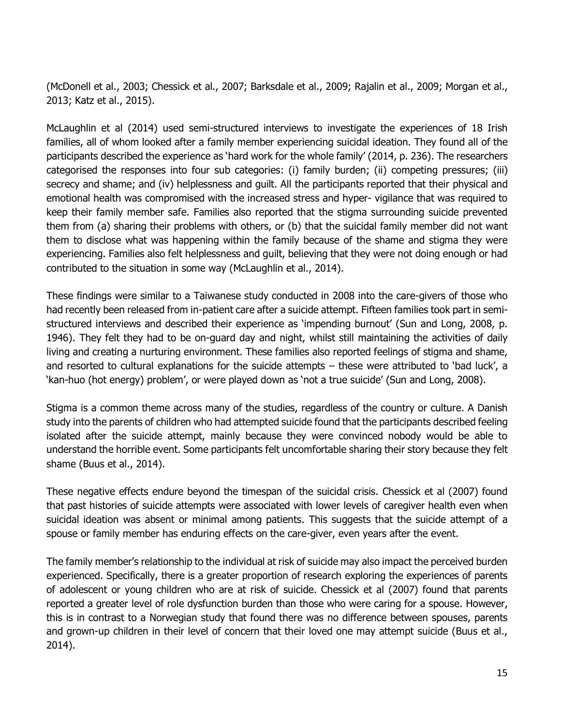(McDonell et al., 2003; Chessick et al., 2007; Barksdale et al., 2009; Rajalin et al., 2009; Morgan et al., 2013; Katz et al., 2015).

McLaughlin et al (2014) used semi-structured interviews to investigate the experiences of 18 Irish families, all of whom looked after a family member experiencing suicidal ideation. They found all of the participants described the experience as 'hard work for the whole family' (2014, p. 236). The researchers categorised the responses into four sub categories: (i) family burden; (ii) competing pressures; (iii) secrecy and shame; and (iv) helplessness and guilt. All the participants reported that their physical and emotional health was compromised with the increased stress and hyper- vigilance that was required to keep their family member safe. Families also reported that the stigma surrounding suicide prevented them from (a) sharing their problems with others, or (b) that the suicidal family member did not want them to disclose what was happening within the family because of the shame and stigma they were experiencing. Families also felt helplessness and guilt, believing that they were not doing enough or had contributed to the situation in some way (McLaughlin et al., 2014).

These findings were similar to a Taiwanese study conducted in 2008 into the care-givers of those who had recently been released from in-patient care after a suicide attempt. Fifteen families took part in semistructured interviews and described their experience as 'impending burnout' (Sun and Long, 2008, p. 1946). They felt they had to be on-guard day and night, whilst still maintaining the activities of daily living and creating a nurturing environment. These families also reported feelings of stigma and shame, and resorted to cultural explanations for the suicide attempts – these were attributed to 'bad luck', a 'kan-huo (hot energy) problem', or were played down as 'not a true suicide' (Sun and Long, 2008).

Stigma is a common theme across many of the studies, regardless of the country or culture. A Danish study into the parents of children who had attempted suicide found that the participants described feeling isolated after the suicide attempt, mainly because they were convinced nobody would be able to understand the horrible event. Some participants felt uncomfortable sharing their story because they felt shame (Buus et al., 2014).

These negative effects endure beyond the timespan of the suicidal crisis. Chessick et al (2007) found that past histories of suicide attempts were associated with lower levels of caregiver health even when suicidal ideation was absent or minimal among patients. This suggests that the suicide attempt of a spouse or family member has enduring effects on the care-giver, even years after the event.

The family member's relationship to the individual at risk of suicide may also impact the perceived burden experienced. Specifically, there is a greater proportion of research exploring the experiences of parents of adolescent or young children who are at risk of suicide. Chessick et al (2007) found that parents reported a greater level of role dysfunction burden than those who were caring for a spouse. However, this is in contrast to a Norwegian study that found there was no difference between spouses, parents and grown-up children in their level of concern that their loved one may attempt suicide (Buus et al., 2014).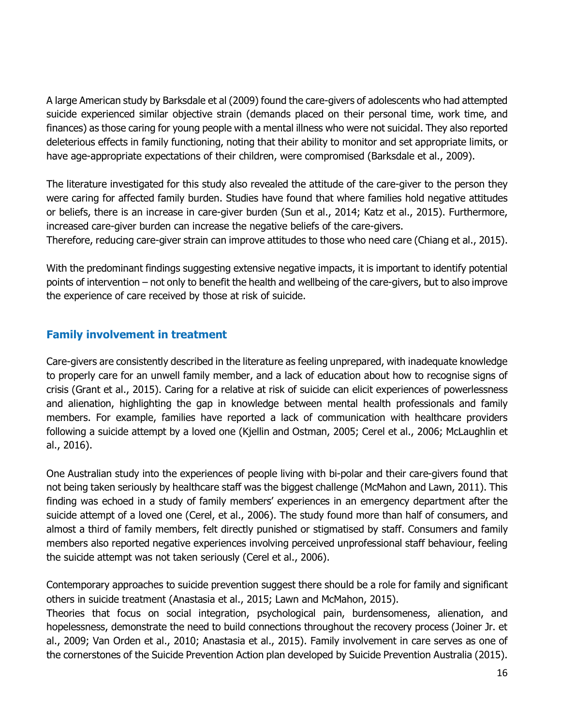A large American study by Barksdale et al (2009) found the care-givers of adolescents who had attempted suicide experienced similar objective strain (demands placed on their personal time, work time, and finances) as those caring for young people with a mental illness who were not suicidal. They also reported deleterious effects in family functioning, noting that their ability to monitor and set appropriate limits, or have age-appropriate expectations of their children, were compromised (Barksdale et al., 2009).

The literature investigated for this study also revealed the attitude of the care-giver to the person they were caring for affected family burden. Studies have found that where families hold negative attitudes or beliefs, there is an increase in care-giver burden (Sun et al., 2014; Katz et al., 2015). Furthermore, increased care-giver burden can increase the negative beliefs of the care-givers.

Therefore, reducing care-giver strain can improve attitudes to those who need care (Chiang et al., 2015).

With the predominant findings suggesting extensive negative impacts, it is important to identify potential points of intervention – not only to benefit the health and wellbeing of the care-givers, but to also improve the experience of care received by those at risk of suicide.

## **Family involvement in treatment**

Care-givers are consistently described in the literature as feeling unprepared, with inadequate knowledge to properly care for an unwell family member, and a lack of education about how to recognise signs of crisis (Grant et al., 2015). Caring for a relative at risk of suicide can elicit experiences of powerlessness and alienation, highlighting the gap in knowledge between mental health professionals and family members. For example, families have reported a lack of communication with healthcare providers following a suicide attempt by a loved one (Kjellin and Ostman, 2005; Cerel et al., 2006; McLaughlin et al., 2016).

One Australian study into the experiences of people living with bi-polar and their care-givers found that not being taken seriously by healthcare staff was the biggest challenge (McMahon and Lawn, 2011). This finding was echoed in a study of family members' experiences in an emergency department after the suicide attempt of a loved one (Cerel, et al., 2006). The study found more than half of consumers, and almost a third of family members, felt directly punished or stigmatised by staff. Consumers and family members also reported negative experiences involving perceived unprofessional staff behaviour, feeling the suicide attempt was not taken seriously (Cerel et al., 2006).

Contemporary approaches to suicide prevention suggest there should be a role for family and significant others in suicide treatment (Anastasia et al., 2015; Lawn and McMahon, 2015).

Theories that focus on social integration, psychological pain, burdensomeness, alienation, and hopelessness, demonstrate the need to build connections throughout the recovery process (Joiner Jr. et al., 2009; Van Orden et al., 2010; Anastasia et al., 2015). Family involvement in care serves as one of the cornerstones of the Suicide Prevention Action plan developed by Suicide Prevention Australia (2015).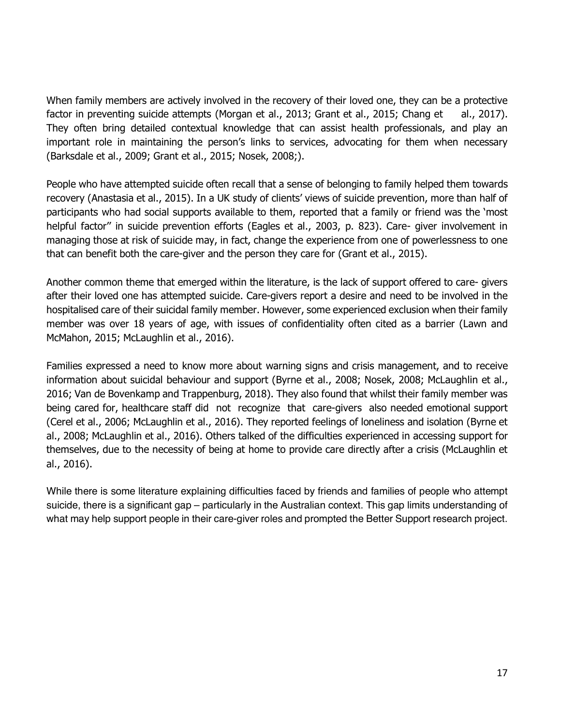When family members are actively involved in the recovery of their loved one, they can be a protective factor in preventing suicide attempts (Morgan et al., 2013; Grant et al., 2015; Chang et al., 2017). They often bring detailed contextual knowledge that can assist health professionals, and play an important role in maintaining the person's links to services, advocating for them when necessary (Barksdale et al., 2009; Grant et al., 2015; Nosek, 2008;).

People who have attempted suicide often recall that a sense of belonging to family helped them towards recovery (Anastasia et al., 2015). In a UK study of clients' views of suicide prevention, more than half of participants who had social supports available to them, reported that a family or friend was the 'most helpful factor" in suicide prevention efforts (Eagles et al., 2003, p. 823). Care- giver involvement in managing those at risk of suicide may, in fact, change the experience from one of powerlessness to one that can benefit both the care-giver and the person they care for (Grant et al., 2015).

Another common theme that emerged within the literature, is the lack of support offered to care- givers after their loved one has attempted suicide. Care-givers report a desire and need to be involved in the hospitalised care of their suicidal family member. However, some experienced exclusion when their family member was over 18 years of age, with issues of confidentiality often cited as a barrier (Lawn and McMahon, 2015; McLaughlin et al., 2016).

Families expressed a need to know more about warning signs and crisis management, and to receive information about suicidal behaviour and support (Byrne et al., 2008; Nosek, 2008; McLaughlin et al., 2016; Van de Bovenkamp and Trappenburg, 2018). They also found that whilst their family member was being cared for, healthcare staff did not recognize that care-givers also needed emotional support (Cerel et al., 2006; McLaughlin et al., 2016). They reported feelings of loneliness and isolation (Byrne et al., 2008; McLaughlin et al., 2016). Others talked of the difficulties experienced in accessing support for themselves, due to the necessity of being at home to provide care directly after a crisis (McLaughlin et al., 2016).

While there is some literature explaining difficulties faced by friends and families of people who attempt suicide, there is a significant gap – particularly in the Australian context. This gap limits understanding of what may help support people in their care-giver roles and prompted the Better Support research project.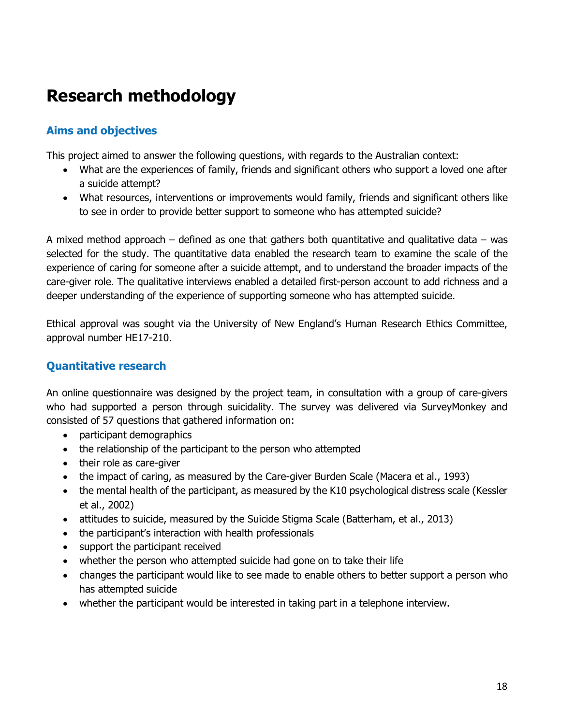# **Research methodology**

## **Aims and objectives**

This project aimed to answer the following questions, with regards to the Australian context:

- What are the experiences of family, friends and significant others who support a loved one after a suicide attempt?
- What resources, interventions or improvements would family, friends and significant others like to see in order to provide better support to someone who has attempted suicide?

A mixed method approach – defined as one that gathers both quantitative and qualitative data – was selected for the study. The quantitative data enabled the research team to examine the scale of the experience of caring for someone after a suicide attempt, and to understand the broader impacts of the care-giver role. The qualitative interviews enabled a detailed first-person account to add richness and a deeper understanding of the experience of supporting someone who has attempted suicide.

Ethical approval was sought via the University of New England's Human Research Ethics Committee, approval number HE17-210.

## **Quantitative research**

An online questionnaire was designed by the project team, in consultation with a group of care-givers who had supported a person through suicidality. The survey was delivered via SurveyMonkey and consisted of 57 questions that gathered information on:

- participant demographics
- the relationship of the participant to the person who attempted
- their role as care-giver
- the impact of caring, as measured by the Care-giver Burden Scale (Macera et al., 1993)
- the mental health of the participant, as measured by the K10 psychological distress scale (Kessler et al., 2002)
- attitudes to suicide, measured by the Suicide Stigma Scale (Batterham, et al., 2013)
- the participant's interaction with health professionals
- support the participant received
- whether the person who attempted suicide had gone on to take their life
- changes the participant would like to see made to enable others to better support a person who has attempted suicide
- whether the participant would be interested in taking part in a telephone interview.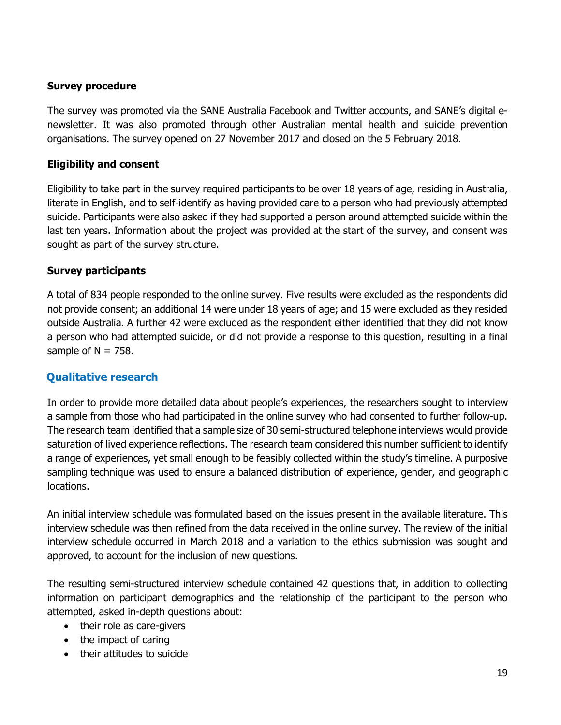#### **Survey procedure**

The survey was promoted via the SANE Australia Facebook and Twitter accounts, and SANE's digital enewsletter. It was also promoted through other Australian mental health and suicide prevention organisations. The survey opened on 27 November 2017 and closed on the 5 February 2018.

#### **Eligibility and consent**

Eligibility to take part in the survey required participants to be over 18 years of age, residing in Australia, literate in English, and to self-identify as having provided care to a person who had previously attempted suicide. Participants were also asked if they had supported a person around attempted suicide within the last ten years. Information about the project was provided at the start of the survey, and consent was sought as part of the survey structure.

#### **Survey participants**

A total of 834 people responded to the online survey. Five results were excluded as the respondents did not provide consent; an additional 14 were under 18 years of age; and 15 were excluded as they resided outside Australia. A further 42 were excluded as the respondent either identified that they did not know a person who had attempted suicide, or did not provide a response to this question, resulting in a final sample of  $N = 758$ .

### **Qualitative research**

In order to provide more detailed data about people's experiences, the researchers sought to interview a sample from those who had participated in the online survey who had consented to further follow-up. The research team identified that a sample size of 30 semi-structured telephone interviews would provide saturation of lived experience reflections. The research team considered this number sufficient to identify a range of experiences, yet small enough to be feasibly collected within the study's timeline. A purposive sampling technique was used to ensure a balanced distribution of experience, gender, and geographic locations.

An initial interview schedule was formulated based on the issues present in the available literature. This interview schedule was then refined from the data received in the online survey. The review of the initial interview schedule occurred in March 2018 and a variation to the ethics submission was sought and approved, to account for the inclusion of new questions.

The resulting semi-structured interview schedule contained 42 questions that, in addition to collecting information on participant demographics and the relationship of the participant to the person who attempted, asked in-depth questions about:

- their role as care-givers
- the impact of caring
- their attitudes to suicide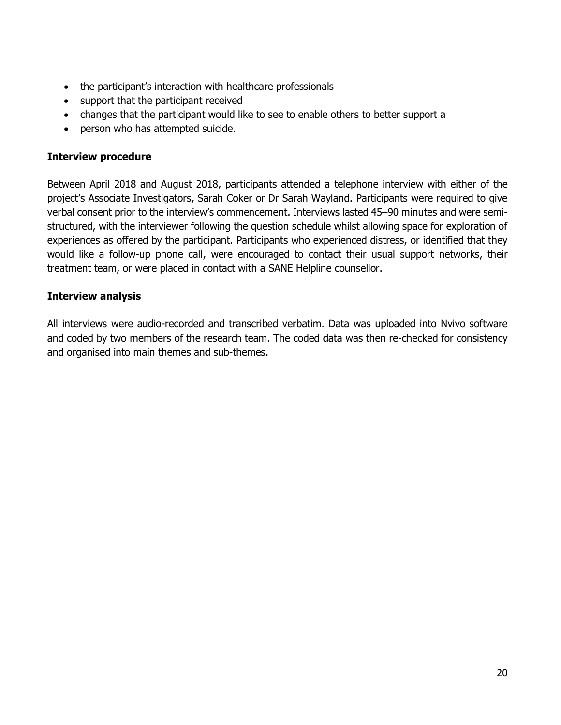- the participant's interaction with healthcare professionals
- support that the participant received
- changes that the participant would like to see to enable others to better support a
- person who has attempted suicide.

#### **Interview procedure**

Between April 2018 and August 2018, participants attended a telephone interview with either of the project's Associate Investigators, Sarah Coker or Dr Sarah Wayland. Participants were required to give verbal consent prior to the interview's commencement. Interviews lasted 45–90 minutes and were semistructured, with the interviewer following the question schedule whilst allowing space for exploration of experiences as offered by the participant. Participants who experienced distress, or identified that they would like a follow-up phone call, were encouraged to contact their usual support networks, their treatment team, or were placed in contact with a SANE Helpline counsellor.

### **Interview analysis**

All interviews were audio-recorded and transcribed verbatim. Data was uploaded into Nvivo software and coded by two members of the research team. The coded data was then re-checked for consistency and organised into main themes and sub-themes.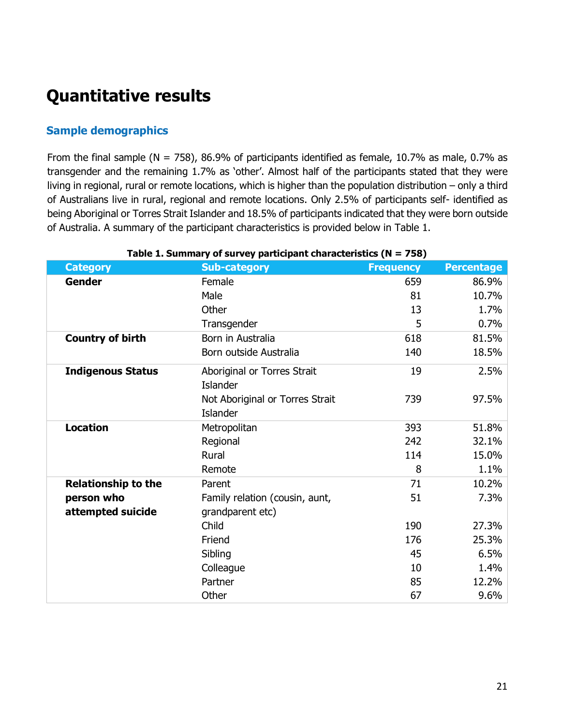# **Quantitative results**

## **Sample demographics**

From the final sample (N = 758), 86.9% of participants identified as female, 10.7% as male, 0.7% as transgender and the remaining 1.7% as 'other'. Almost half of the participants stated that they were living in regional, rural or remote locations, which is higher than the population distribution – only a third of Australians live in rural, regional and remote locations. Only 2.5% of participants self- identified as being Aboriginal or Torres Strait Islander and 18.5% of participants indicated that they were born outside of Australia. A summary of the participant characteristics is provided below in Table 1.

| <b>Category</b>            | <b>Sub-category</b>             | <b>Frequency</b> | <b>Percentage</b> |
|----------------------------|---------------------------------|------------------|-------------------|
| <b>Gender</b>              | Female                          | 659              | 86.9%             |
|                            | Male                            | 81               | 10.7%             |
|                            | Other                           | 13               | 1.7%              |
|                            | Transgender                     | 5                | 0.7%              |
| <b>Country of birth</b>    | Born in Australia               | 618              | 81.5%             |
|                            | Born outside Australia          | 140              | 18.5%             |
| <b>Indigenous Status</b>   | Aboriginal or Torres Strait     | 19               | 2.5%              |
|                            | <b>Islander</b>                 |                  |                   |
|                            | Not Aboriginal or Torres Strait | 739              | 97.5%             |
|                            | Islander                        |                  |                   |
| <b>Location</b>            | Metropolitan                    | 393              | 51.8%             |
|                            | Regional                        | 242              | 32.1%             |
|                            | Rural                           | 114              | 15.0%             |
|                            | Remote                          | 8                | 1.1%              |
| <b>Relationship to the</b> | Parent                          | 71               | 10.2%             |
| person who                 | Family relation (cousin, aunt,  | 51               | 7.3%              |
| attempted suicide          | grandparent etc)                |                  |                   |
|                            | Child                           | 190              | 27.3%             |
|                            | Friend                          | 176              | 25.3%             |
|                            | Sibling                         | 45               | 6.5%              |
|                            | Colleague                       | 10               | 1.4%              |
|                            | Partner                         | 85               | 12.2%             |
|                            | Other                           | 67               | 9.6%              |

#### **Table 1. Summary of survey participant characteristics (N = 758)**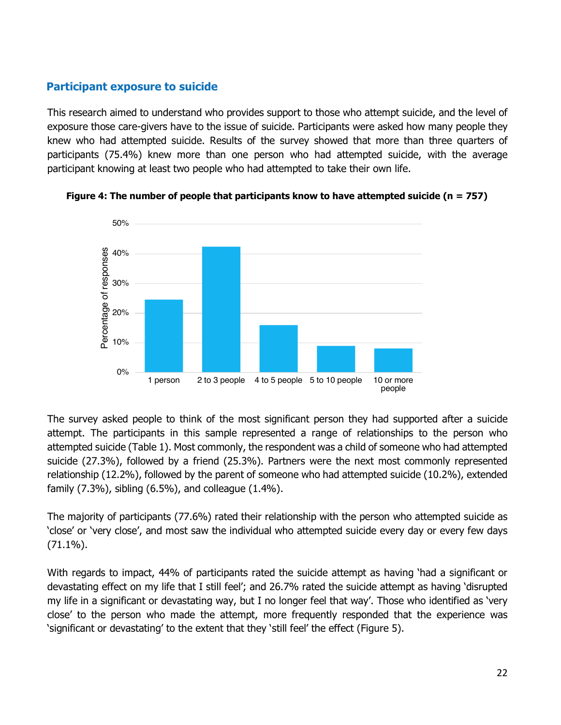## **Participant exposure to suicide**

This research aimed to understand who provides support to those who attempt suicide, and the level of exposure those care-givers have to the issue of suicide. Participants were asked how many people they knew who had attempted suicide. Results of the survey showed that more than three quarters of participants (75.4%) knew more than one person who had attempted suicide, with the average participant knowing at least two people who had attempted to take their own life.





The survey asked people to think of the most significant person they had supported after a suicide attempt. The participants in this sample represented a range of relationships to the person who attempted suicide (Table 1). Most commonly, the respondent was a child of someone who had attempted suicide (27.3%), followed by a friend (25.3%). Partners were the next most commonly represented relationship (12.2%), followed by the parent of someone who had attempted suicide (10.2%), extended family (7.3%), sibling (6.5%), and colleague (1.4%).

The majority of participants (77.6%) rated their relationship with the person who attempted suicide as 'close' or 'very close', and most saw the individual who attempted suicide every day or every few days (71.1%).

With regards to impact, 44% of participants rated the suicide attempt as having 'had a significant or devastating effect on my life that I still feel'; and 26.7% rated the suicide attempt as having 'disrupted my life in a significant or devastating way, but I no longer feel that way'. Those who identified as 'very close' to the person who made the attempt, more frequently responded that the experience was 'significant or devastating' to the extent that they 'still feel' the effect (Figure 5).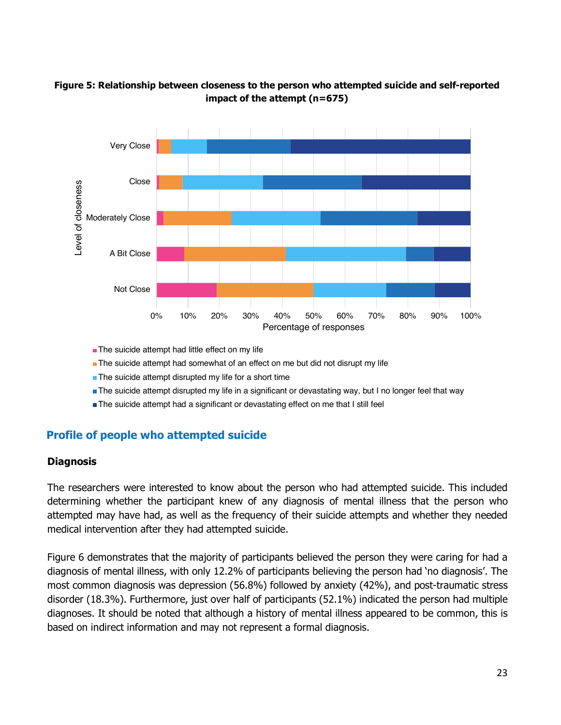



**The suicide attempt had little effect on my life** 

The suicide attempt had somewhat of an effect on me but did not disrupt my life

- **The suicide attempt disrupted my life for a short time**
- The suicide attempt disrupted my life in a significant or devastating way, but I no longer feel that way
- The suicide attempt had a significant or devastating effect on me that I still feel

### **Profile of people who attempted suicide**

#### **Diagnosis**

The researchers were interested to know about the person who had attempted suicide. This included determining whether the participant knew of any diagnosis of mental illness that the person who attempted may have had, as well as the frequency of their suicide attempts and whether they needed medical intervention after they had attempted suicide.

Figure 6 demonstrates that the majority of participants believed the person they were caring for had a diagnosis of mental illness, with only 12.2% of participants believing the person had 'no diagnosis'. The most common diagnosis was depression (56.8%) followed by anxiety (42%), and post-traumatic stress disorder (18.3%). Furthermore, just over half of participants (52.1%) indicated the person had multiple diagnoses. It should be noted that although a history of mental illness appeared to be common, this is based on indirect information and may not represent a formal diagnosis.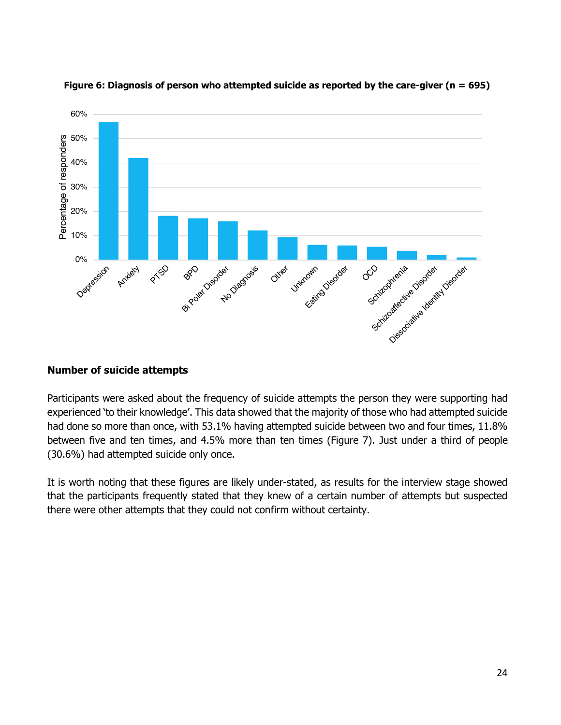



#### **Number of suicide attempts**

Participants were asked about the frequency of suicide attempts the person they were supporting had experienced 'to their knowledge'. This data showed that the majority of those who had attempted suicide had done so more than once, with 53.1% having attempted suicide between two and four times, 11.8% between five and ten times, and 4.5% more than ten times (Figure 7). Just under a third of people (30.6%) had attempted suicide only once.

It is worth noting that these figures are likely under-stated, as results for the interview stage showed that the participants frequently stated that they knew of a certain number of attempts but suspected there were other attempts that they could not confirm without certainty.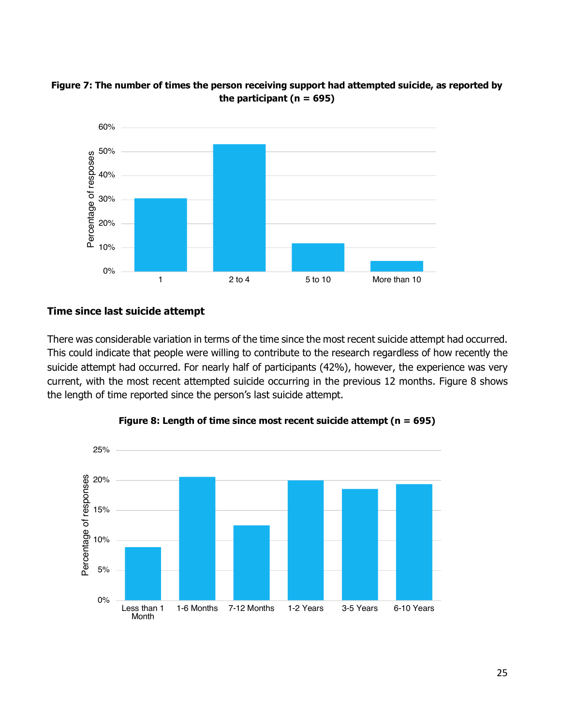



#### **Time since last suicide attempt**

There was considerable variation in terms of the time since the most recent suicide attempt had occurred. This could indicate that people were willing to contribute to the research regardless of how recently the suicide attempt had occurred. For nearly half of participants (42%), however, the experience was very current, with the most recent attempted suicide occurring in the previous 12 months. Figure 8 shows the length of time reported since the person's last suicide attempt.



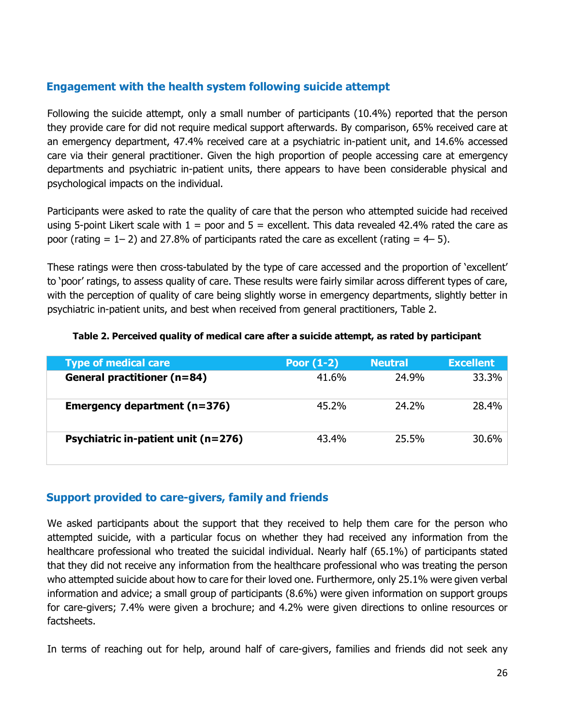## **Engagement with the health system following suicide attempt**

Following the suicide attempt, only a small number of participants (10.4%) reported that the person they provide care for did not require medical support afterwards. By comparison, 65% received care at an emergency department, 47.4% received care at a psychiatric in-patient unit, and 14.6% accessed care via their general practitioner. Given the high proportion of people accessing care at emergency departments and psychiatric in-patient units, there appears to have been considerable physical and psychological impacts on the individual.

Participants were asked to rate the quality of care that the person who attempted suicide had received using 5-point Likert scale with  $1 =$  poor and  $5 =$  excellent. This data revealed 42.4% rated the care as poor (rating  $= 1 - 2$ ) and 27.8% of participants rated the care as excellent (rating  $= 4 - 5$ ).

These ratings were then cross-tabulated by the type of care accessed and the proportion of 'excellent' to 'poor' ratings, to assess quality of care. These results were fairly similar across different types of care, with the perception of quality of care being slightly worse in emergency departments, slightly better in psychiatric in-patient units, and best when received from general practitioners, Table 2.

| <b>Type of medical care</b>         | Poor $(1-2)$ | <b>Neutral</b> | <b>Excellent</b> |
|-------------------------------------|--------------|----------------|------------------|
| <b>General practitioner (n=84)</b>  | 41.6%        | 24.9%          | 33.3%            |
| <b>Emergency department (n=376)</b> | 45.2%        | 24.2%          | 28.4%            |
| Psychiatric in-patient unit (n=276) | 43.4%        | 25.5%          | 30.6%            |

#### **Table 2. Perceived quality of medical care after a suicide attempt, as rated by participant**

#### **Support provided to care-givers, family and friends**

We asked participants about the support that they received to help them care for the person who attempted suicide, with a particular focus on whether they had received any information from the healthcare professional who treated the suicidal individual. Nearly half (65.1%) of participants stated that they did not receive any information from the healthcare professional who was treating the person who attempted suicide about how to care for their loved one. Furthermore, only 25.1% were given verbal information and advice; a small group of participants (8.6%) were given information on support groups for care-givers; 7.4% were given a brochure; and 4.2% were given directions to online resources or factsheets.

In terms of reaching out for help, around half of care-givers, families and friends did not seek any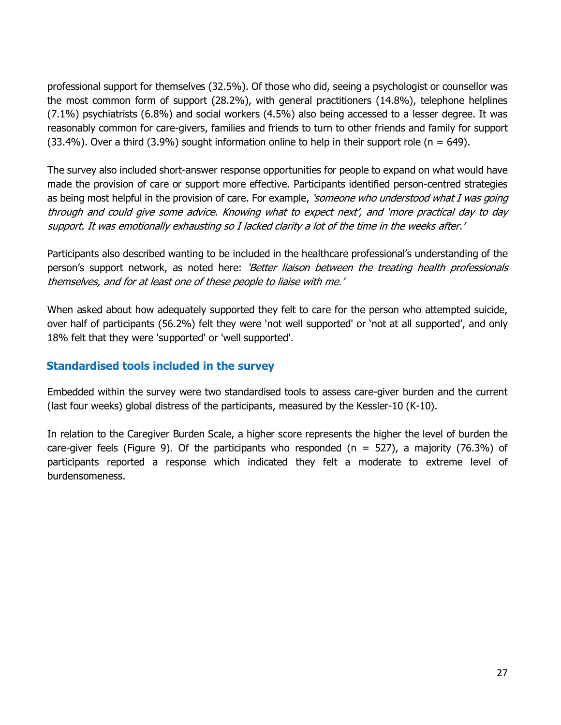professional support for themselves (32.5%). Of those who did, seeing a psychologist or counsellor was the most common form of support (28.2%), with general practitioners (14.8%), telephone helplines (7.1%) psychiatrists (6.8%) and social workers (4.5%) also being accessed to a lesser degree. It was reasonably common for care-givers, families and friends to turn to other friends and family for support  $(33.4\%)$ . Over a third  $(3.9\%)$  sought information online to help in their support role (n = 649).

The survey also included short-answer response opportunities for people to expand on what would have made the provision of care or support more effective. Participants identified person-centred strategies as being most helpful in the provision of care. For example, 'someone who understood what I was going through and could give some advice. Knowing what to expect next', and 'more practical day to day support. It was emotionally exhausting so I lacked clarity a lot of the time in the weeks after.'

Participants also described wanting to be included in the healthcare professional's understanding of the person's support network, as noted here: 'Better liaison between the treating health professionals themselves, and for at least one of these people to liaise with me.'

When asked about how adequately supported they felt to care for the person who attempted suicide, over half of participants (56.2%) felt they were 'not well supported' or 'not at all supported', and only 18% felt that they were 'supported' or 'well supported'.

### **Standardised tools included in the survey**

Embedded within the survey were two standardised tools to assess care-giver burden and the current (last four weeks) global distress of the participants, measured by the Kessler-10 (K-10).

In relation to the Caregiver Burden Scale, a higher score represents the higher the level of burden the care-giver feels (Figure 9). Of the participants who responded ( $n = 527$ ), a majority (76.3%) of participants reported a response which indicated they felt a moderate to extreme level of burdensomeness.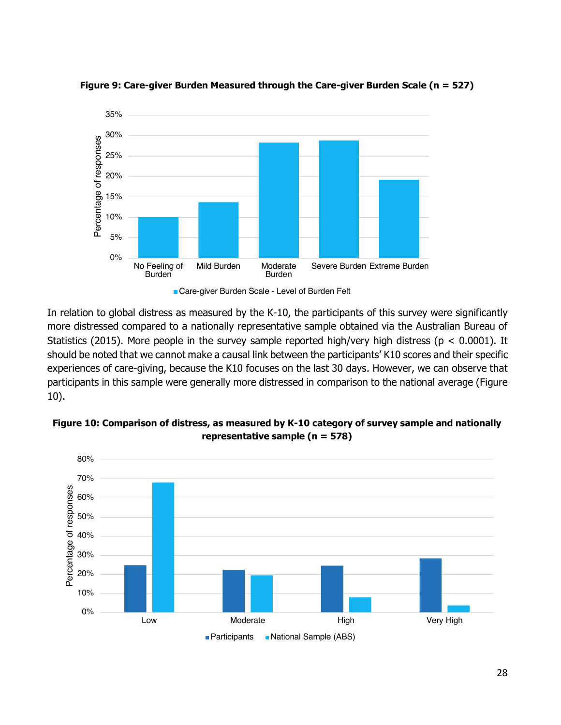

**Figure 9: Care-giver Burden Measured through the Care-giver Burden Scale (n = 527)**



In relation to global distress as measured by the K-10, the participants of this survey were significantly more distressed compared to a nationally representative sample obtained via the Australian Bureau of Statistics (2015). More people in the survey sample reported high/very high distress ( $p < 0.0001$ ). It should be noted that we cannot make a causal link between the participants' K10 scores and their specific experiences of care-giving, because the K10 focuses on the last 30 days. However, we can observe that participants in this sample were generally more distressed in comparison to the national average (Figure 10).



**Figure 10: Comparison of distress, as measured by K-10 category of survey sample and nationally representative sample (n = 578)**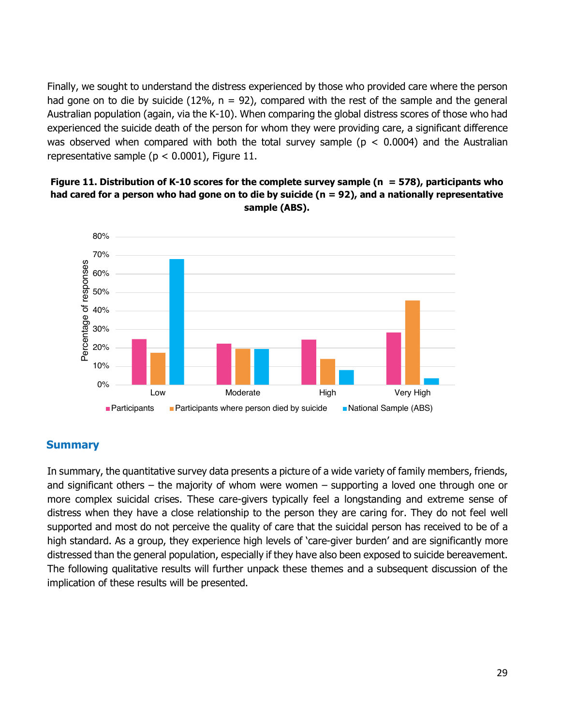Finally, we sought to understand the distress experienced by those who provided care where the person had gone on to die by suicide (12%,  $n = 92$ ), compared with the rest of the sample and the general Australian population (again, via the K-10). When comparing the global distress scores of those who had experienced the suicide death of the person for whom they were providing care, a significant difference was observed when compared with both the total survey sample ( $p < 0.0004$ ) and the Australian representative sample ( $p < 0.0001$ ), Figure 11.





### **Summary**

In summary, the quantitative survey data presents a picture of a wide variety of family members, friends, and significant others – the majority of whom were women – supporting a loved one through one or more complex suicidal crises. These care-givers typically feel a longstanding and extreme sense of distress when they have a close relationship to the person they are caring for. They do not feel well supported and most do not perceive the quality of care that the suicidal person has received to be of a high standard. As a group, they experience high levels of 'care-giver burden' and are significantly more distressed than the general population, especially if they have also been exposed to suicide bereavement. The following qualitative results will further unpack these themes and a subsequent discussion of the implication of these results will be presented.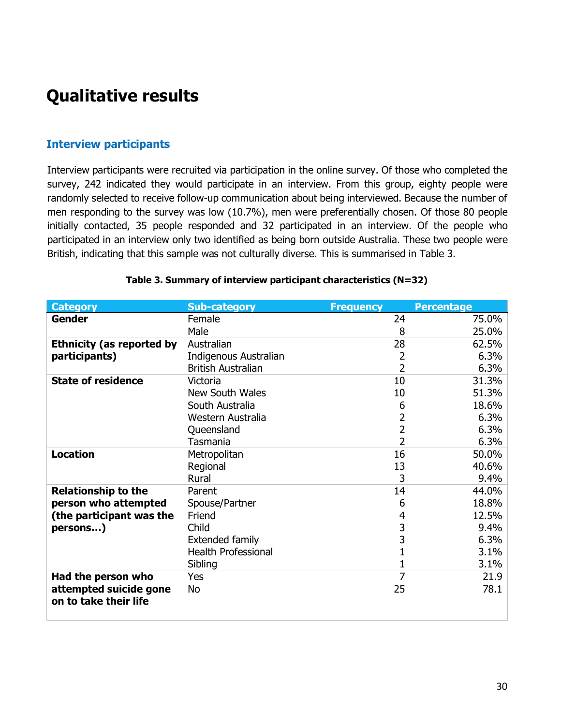# **Qualitative results**

#### **Interview participants**

Interview participants were recruited via participation in the online survey. Of those who completed the survey, 242 indicated they would participate in an interview. From this group, eighty people were randomly selected to receive follow-up communication about being interviewed. Because the number of men responding to the survey was low (10.7%), men were preferentially chosen. Of those 80 people initially contacted, 35 people responded and 32 participated in an interview. Of the people who participated in an interview only two identified as being born outside Australia. These two people were British, indicating that this sample was not culturally diverse. This is summarised in Table 3.

| <b>Category</b>                                 | <b>Sub-category</b>        | <b>Frequency</b> | <b>Percentage</b> |
|-------------------------------------------------|----------------------------|------------------|-------------------|
| <b>Gender</b>                                   | Female                     | 24               | 75.0%             |
|                                                 | Male                       | 8                | 25.0%             |
| <b>Ethnicity (as reported by</b>                | Australian                 | 28               | 62.5%             |
| participants)                                   | Indigenous Australian      | 2                | 6.3%              |
|                                                 | <b>British Australian</b>  | 2                | 6.3%              |
| <b>State of residence</b>                       | Victoria                   | 10               | 31.3%             |
|                                                 | New South Wales            | 10               | 51.3%             |
|                                                 | South Australia            | 6                | 18.6%             |
|                                                 | Western Australia          | 2                | 6.3%              |
|                                                 | Queensland                 | 2                | 6.3%              |
|                                                 | Tasmania                   | 2                | 6.3%              |
| <b>Location</b>                                 | Metropolitan               | 16               | 50.0%             |
|                                                 | Regional                   | 13               | 40.6%             |
|                                                 | Rural                      | 3                | 9.4%              |
| <b>Relationship to the</b>                      | Parent                     | 14               | 44.0%             |
| person who attempted                            | Spouse/Partner             | 6                | 18.8%             |
| (the participant was the                        | Friend                     | 4                | 12.5%             |
| persons)                                        | Child                      | 3                | 9.4%              |
|                                                 | <b>Extended family</b>     | 3                | 6.3%              |
|                                                 | <b>Health Professional</b> |                  | 3.1%              |
|                                                 | Sibling                    |                  | 3.1%              |
| Had the person who                              | Yes                        | 7                | 21.9              |
| attempted suicide gone<br>on to take their life | No                         | 25               | 78.1              |

#### **Table 3. Summary of interview participant characteristics (N=32)**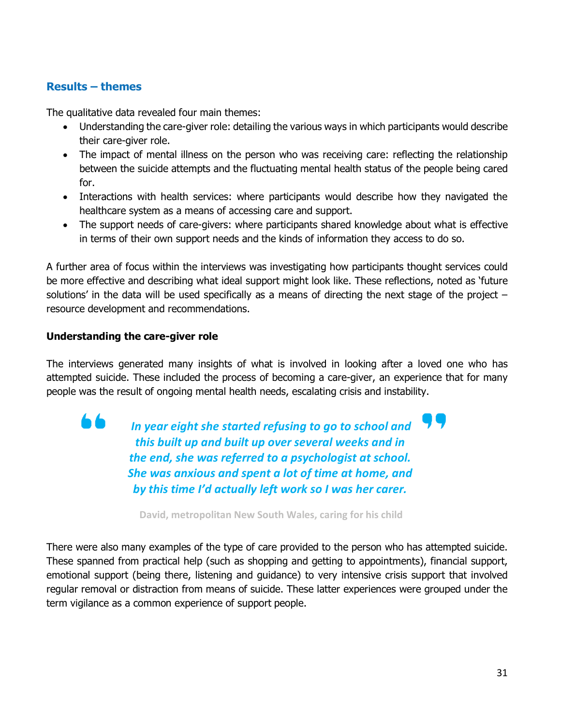#### **Results – themes**

The qualitative data revealed four main themes:

- Understanding the care-giver role: detailing the various ways in which participants would describe their care-giver role.
- The impact of mental illness on the person who was receiving care: reflecting the relationship between the suicide attempts and the fluctuating mental health status of the people being cared for.
- Interactions with health services: where participants would describe how they navigated the healthcare system as a means of accessing care and support.
- The support needs of care-givers: where participants shared knowledge about what is effective in terms of their own support needs and the kinds of information they access to do so.

A further area of focus within the interviews was investigating how participants thought services could be more effective and describing what ideal support might look like. These reflections, noted as 'future solutions' in the data will be used specifically as a means of directing the next stage of the project – resource development and recommendations.

#### **Understanding the care-giver role**

The interviews generated many insights of what is involved in looking after a loved one who has attempted suicide. These included the process of becoming a care-giver, an experience that for many people was the result of ongoing mental health needs, escalating crisis and instability.

*In year eight she started refusing to go to school and this built up and built up over several weeks and in the end, she was referred to a psychologist at school. She was anxious and spent a lot of time at home, and by this time I'd actually left work so I was her carer.*

**David, metropolitan New South Wales, caring for his child**

There were also many examples of the type of care provided to the person who has attempted suicide. These spanned from practical help (such as shopping and getting to appointments), financial support, emotional support (being there, listening and guidance) to very intensive crisis support that involved regular removal or distraction from means of suicide. These latter experiences were grouped under the term vigilance as a common experience of support people.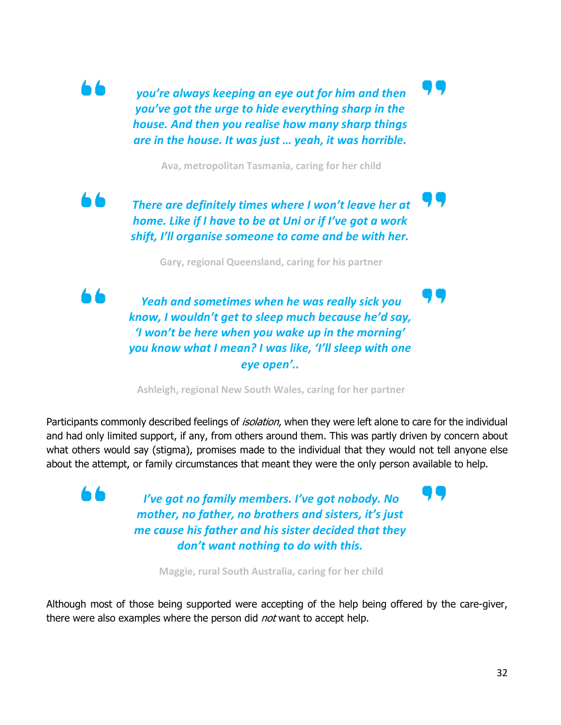*you're always keeping an eye out for him and then you've got the urge to hide everything sharp in the house. And then you realise how many sharp things are in the house. It was just … yeah, it was horrible.*

IJL,

**Ava, metropolitan Tasmania, caring for her child**

## *There are definitely times where I won't leave her at home. Like if I have to be at Uni or if I've got a work shift, I'll organise someone to come and be with her.*

**Gary, regional Queensland, caring for his partner**

*Yeah and sometimes when he was really sick you know, I wouldn't get to sleep much because he'd say, 'I won't be here when you wake up in the morning' you know what I mean? I was like, 'I'll sleep with one eye open'..*

**Ashleigh, regional New South Wales, caring for her partner**

Participants commonly described feelings of *isolation*, when they were left alone to care for the individual and had only limited support, if any, from others around them. This was partly driven by concern about what others would say (stigma), promises made to the individual that they would not tell anyone else about the attempt, or family circumstances that meant they were the only person available to help.

> *I've got no family members. I've got nobody. No mother, no father, no brothers and sisters, it's just me cause his father and his sister decided that they don't want nothing to do with this.*

**Maggie, rural South Australia, caring for her child**

Although most of those being supported were accepting of the help being offered by the care-giver, there were also examples where the person did *not* want to accept help.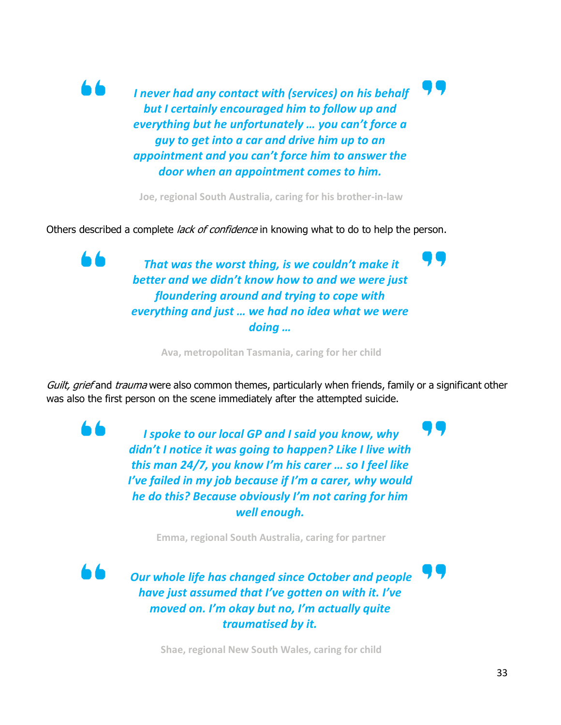56

*I never had any contact with (services) on his behalf but I certainly encouraged him to follow up and everything but he unfortunately … you can't force a guy to get into a car and drive him up to an appointment and you can't force him to answer the door when an appointment comes to him.*

**Joe, regional South Australia, caring for his brother-in-law**

Others described a complete *lack of confidence* in knowing what to do to help the person.

*That was the worst thing, is we couldn't make it better and we didn't know how to and we were just floundering around and trying to cope with everything and just … we had no idea what we were doing …*

**Ava, metropolitan Tasmania, caring for her child**

Guilt, grief and trauma were also common themes, particularly when friends, family or a significant other was also the first person on the scene immediately after the attempted suicide.

> *I spoke to our local GP and I said you know, why didn't I notice it was going to happen? Like I live with this man 24/7, you know I'm his carer … so I feel like I've failed in my job because if I'm a carer, why would he do this? Because obviously I'm not caring for him well enough.*

> > **Emma, regional South Australia, caring for partner**

*Our whole life has changed since October and people have just assumed that I've gotten on with it. I've moved on. I'm okay but no, I'm actually quite traumatised by it.*

**Shae, regional New South Wales, caring for child**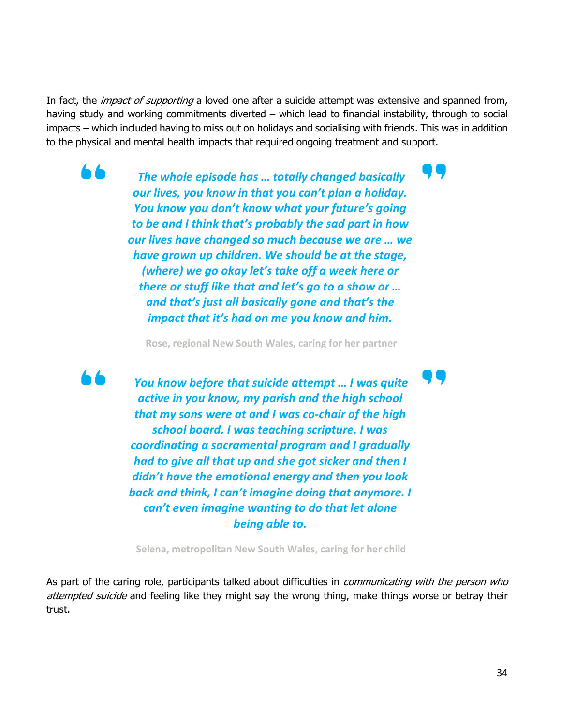In fact, the *impact of supporting* a loved one after a suicide attempt was extensive and spanned from, having study and working commitments diverted – which lead to financial instability, through to social impacts – which included having to miss out on holidays and socialising with friends. This was in addition to the physical and mental health impacts that required ongoing treatment and support.

> *The whole episode has … totally changed basically our lives, you know in that you can't plan a holiday. You know you don't know what your future's going to be and I think that's probably the sad part in how our lives have changed so much because we are … we have grown up children. We should be at the stage, (where) we go okay let's take off a week here or there or stuff like that and let's go to a show or … and that's just all basically gone and that's the impact that it's had on me you know and him.*

66

**Rose, regional New South Wales, caring for her partner**

*You know before that suicide attempt … I was quite active in you know, my parish and the high school that my sons were at and I was co-chair of the high school board. I was teaching scripture. I was coordinating a sacramental program and I gradually had to give all that up and she got sicker and then I didn't have the emotional energy and then you look back and think, I can't imagine doing that anymore. I can't even imagine wanting to do that let alone being able to.*

**Selena, metropolitan New South Wales, caring for her child**

As part of the caring role, participants talked about difficulties in *communicating with the person who* attempted suicide and feeling like they might say the wrong thing, make things worse or betray their trust.

74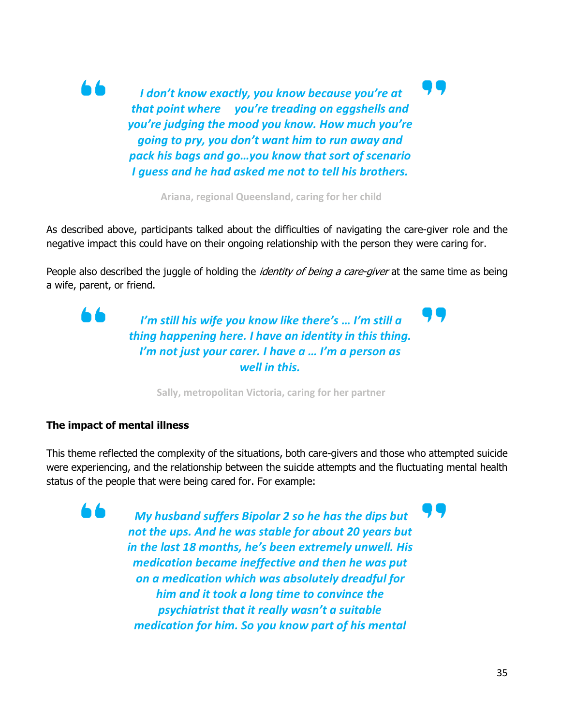74 *I don't know exactly, you know because you're at that point where you're treading on eggshells and you're judging the mood you know. How much you're going to pry, you don't want him to run away and pack his bags and go…you know that sort of scenario I guess and he had asked me not to tell his brothers.*

**Ariana, regional Queensland, caring for her child**

As described above, participants talked about the difficulties of navigating the care-giver role and the negative impact this could have on their ongoing relationship with the person they were caring for.

People also described the juggle of holding the *identity of being a care-giver* at the same time as being a wife, parent, or friend.



**Sally, metropolitan Victoria, caring for her partner**

#### **The impact of mental illness**

66

This theme reflected the complexity of the situations, both care-givers and those who attempted suicide were experiencing, and the relationship between the suicide attempts and the fluctuating mental health status of the people that were being cared for. For example:

> *My husband suffers Bipolar 2 so he has the dips but not the ups. And he was stable for about 20 years but in the last 18 months, he's been extremely unwell. His medication became ineffective and then he was put on a medication which was absolutely dreadful for him and it took a long time to convince the psychiatrist that it really wasn't a suitable medication for him. So you know part of his mental*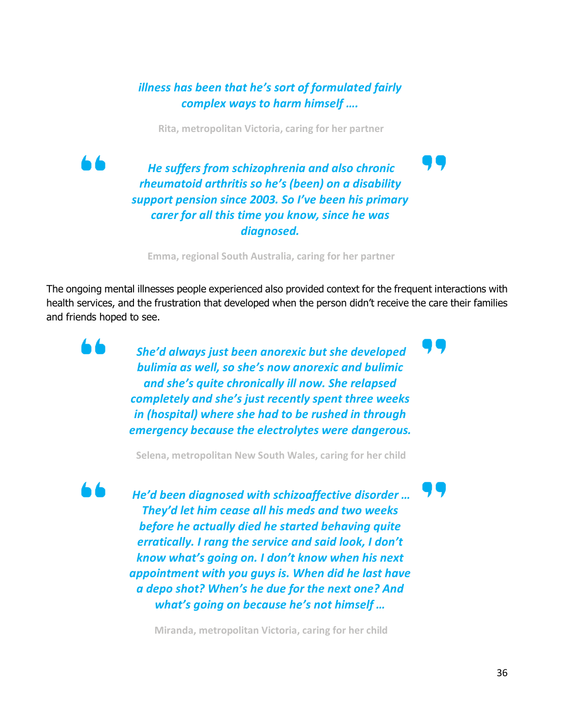## *illness has been that he's sort of formulated fairly complex ways to harm himself ….*

**Rita, metropolitan Victoria, caring for her partner**

*He suffers from schizophrenia and also chronic rheumatoid arthritis so he's (been) on a disability support pension since 2003. So I've been his primary carer for all this time you know, since he was diagnosed.*

**Emma, regional South Australia, caring for her partner**

The ongoing mental illnesses people experienced also provided context for the frequent interactions with health services, and the frustration that developed when the person didn't receive the care their families and friends hoped to see.

. 6

*She'd always just been anorexic but she developed bulimia as well, so she's now anorexic and bulimic and she's quite chronically ill now. She relapsed completely and she's just recently spent three weeks in (hospital) where she had to be rushed in through emergency because the electrolytes were dangerous.*

**Selena, metropolitan New South Wales, caring for her child**

*He'd been diagnosed with schizoaffective disorder … They'd let him cease all his meds and two weeks before he actually died he started behaving quite erratically. I rang the service and said look, I don't know what's going on. I don't know when his next appointment with you guys is. When did he last have a depo shot? When's he due for the next one? And what's going on because he's not himself …*

**Miranda, metropolitan Victoria, caring for her child**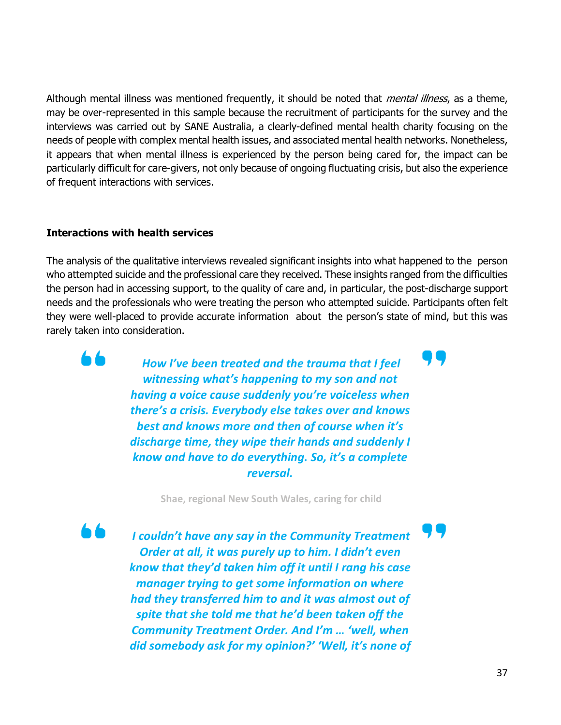Although mental illness was mentioned frequently, it should be noted that *mental illness*, as a theme, may be over-represented in this sample because the recruitment of participants for the survey and the interviews was carried out by SANE Australia, a clearly-defined mental health charity focusing on the needs of people with complex mental health issues, and associated mental health networks. Nonetheless, it appears that when mental illness is experienced by the person being cared for, the impact can be particularly difficult for care-givers, not only because of ongoing fluctuating crisis, but also the experience of frequent interactions with services.

#### **Interactions with health services**

The analysis of the qualitative interviews revealed significant insights into what happened to the person who attempted suicide and the professional care they received. These insights ranged from the difficulties the person had in accessing support, to the quality of care and, in particular, the post-discharge support needs and the professionals who were treating the person who attempted suicide. Participants often felt they were well-placed to provide accurate information about the person's state of mind, but this was rarely taken into consideration.

> *How I've been treated and the trauma that I feel witnessing what's happening to my son and not having a voice cause suddenly you're voiceless when there's a crisis. Everybody else takes over and knows best and knows more and then of course when it's discharge time, they wipe their hands and suddenly I know and have to do everything. So, it's a complete reversal.*

> > **Shae, regional New South Wales, caring for child**

66

*I couldn't have any say in the Community Treatment Order at all, it was purely up to him. I didn't even know that they'd taken him off it until I rang his case manager trying to get some information on where had they transferred him to and it was almost out of spite that she told me that he'd been taken off the Community Treatment Order. And I'm … 'well, when did somebody ask for my opinion?' 'Well, it's none of*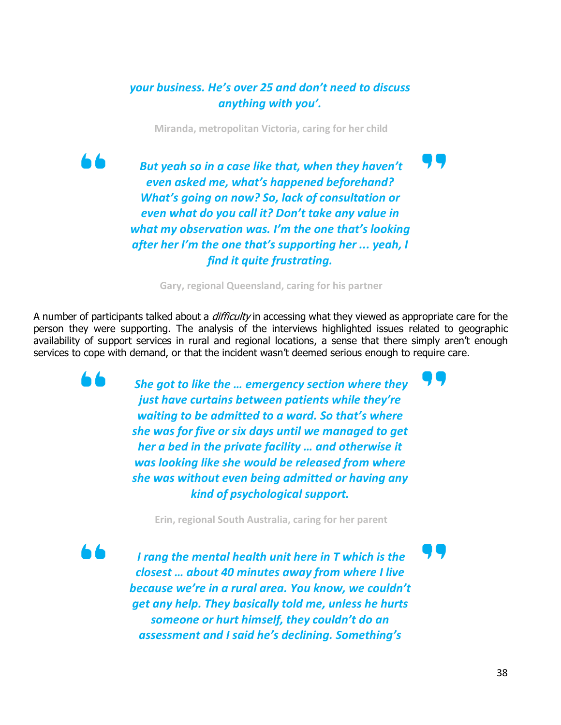## *your business. He's over 25 and don't need to discuss anything with you'.*

**Miranda, metropolitan Victoria, caring for her child**

*But yeah so in a case like that, when they haven't even asked me, what's happened beforehand? What's going on now? So, lack of consultation or even what do you call it? Don't take any value in what my observation was. I'm the one that's looking after her I'm the one that's supporting her ... yeah, I find it quite frustrating.*

**Gary, regional Queensland, caring for his partner**

A number of participants talked about a *difficulty* in accessing what they viewed as appropriate care for the person they were supporting. The analysis of the interviews highlighted issues related to geographic availability of support services in rural and regional locations, a sense that there simply aren't enough services to cope with demand, or that the incident wasn't deemed serious enough to require care.

- 6

*She got to like the … emergency section where they just have curtains between patients while they're waiting to be admitted to a ward. So that's where she was for five or six days until we managed to get her a bed in the private facility … and otherwise it was looking like she would be released from where she was without even being admitted or having any kind of psychological support.*

**Erin, regional South Australia, caring for her parent**

*I rang the mental health unit here in T which is the closest … about 40 minutes away from where I live because we're in a rural area. You know, we couldn't get any help. They basically told me, unless he hurts someone or hurt himself, they couldn't do an assessment and I said he's declining. Something's*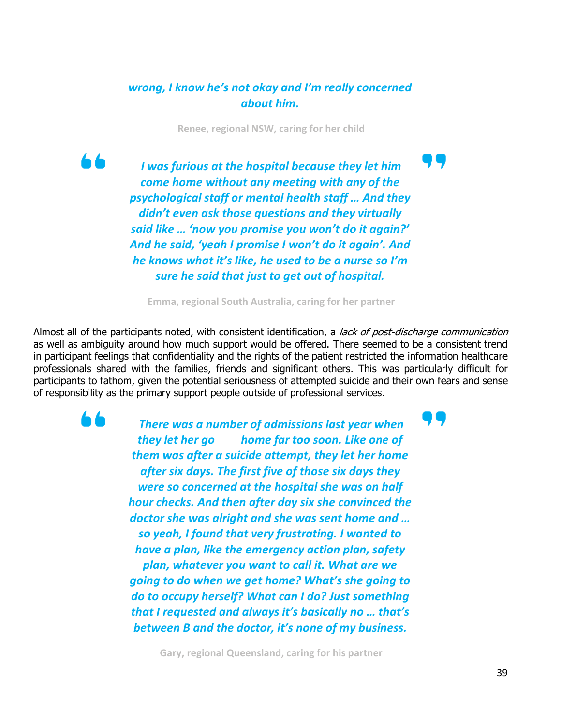## *wrong, I know he's not okay and I'm really concerned about him.*

**Renee, regional NSW, caring for her child**

- 6

*I was furious at the hospital because they let him come home without any meeting with any of the psychological staff or mental health staff … And they didn't even ask those questions and they virtually said like … 'now you promise you won't do it again?' And he said, 'yeah I promise I won't do it again'. And he knows what it's like, he used to be a nurse so I'm sure he said that just to get out of hospital.*

**Emma, regional South Australia, caring for her partner**

Almost all of the participants noted, with consistent identification, a lack of post-discharge communication as well as ambiguity around how much support would be offered. There seemed to be a consistent trend in participant feelings that confidentiality and the rights of the patient restricted the information healthcare professionals shared with the families, friends and significant others. This was particularly difficult for participants to fathom, given the potential seriousness of attempted suicide and their own fears and sense of responsibility as the primary support people outside of professional services.

> *There was a number of admissions last year when they let her go home far too soon. Like one of them was after a suicide attempt, they let her home after six days. The first five of those six days they were so concerned at the hospital she was on half hour checks. And then after day six she convinced the doctor she was alright and she was sent home and … so yeah, I found that very frustrating. I wanted to have a plan, like the emergency action plan, safety plan, whatever you want to call it. What are we going to do when we get home? What's she going to do to occupy herself? What can I do? Just something that I requested and always it's basically no … that's between B and the doctor, it's none of my business.*

> > **Gary, regional Queensland, caring for his partner**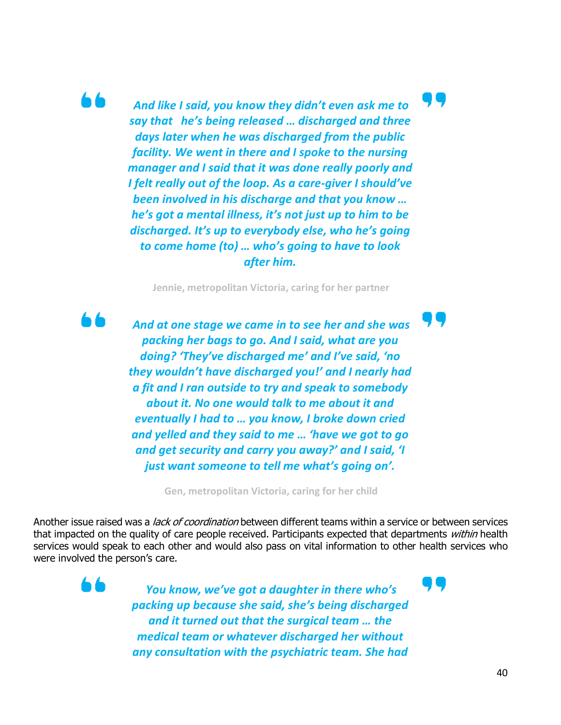۵6

*And like I said, you know they didn't even ask me to say that he's being released … discharged and three days later when he was discharged from the public facility. We went in there and I spoke to the nursing manager and I said that it was done really poorly and I felt really out of the loop. As a care-giver I should've been involved in his discharge and that you know … he's got a mental illness, it's not just up to him to be discharged. It's up to everybody else, who he's going to come home (to) … who's going to have to look after him.*

**Jennie, metropolitan Victoria, caring for her partner**

*And at one stage we came in to see her and she was packing her bags to go. And I said, what are you doing? 'They've discharged me' and I've said, 'no they wouldn't have discharged you!' and I nearly had a fit and I ran outside to try and speak to somebody about it. No one would talk to me about it and eventually I had to … you know, I broke down cried and yelled and they said to me … 'have we got to go and get security and carry you away?' and I said, 'I just want someone to tell me what's going on'.*

**Gen, metropolitan Victoria, caring for her child**

Another issue raised was a *lack of coordination* between different teams within a service or between services that impacted on the quality of care people received. Participants expected that departments within health services would speak to each other and would also pass on vital information to other health services who were involved the person's care.

*You know, we've got a daughter in there who's packing up because she said, she's being discharged and it turned out that the surgical team … the medical team or whatever discharged her without any consultation with the psychiatric team. She had*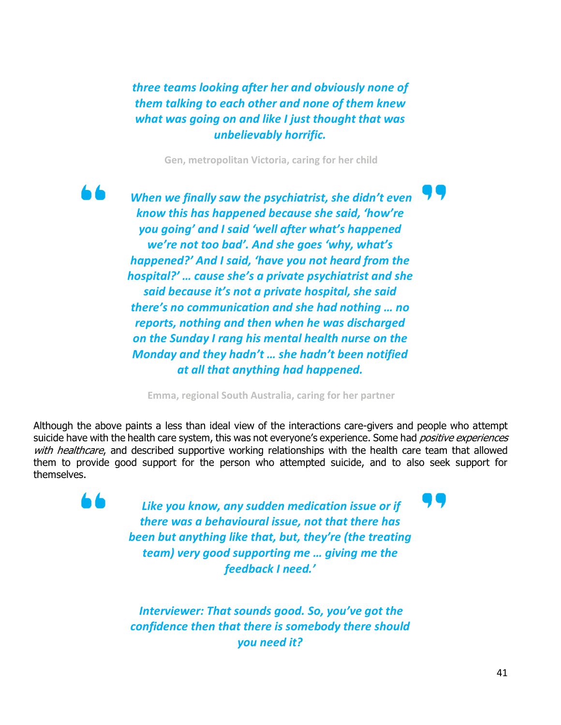*three teams looking after her and obviously none of them talking to each other and none of them knew what was going on and like I just thought that was unbelievably horrific.*

**Gen, metropolitan Victoria, caring for her child**



*When we finally saw the psychiatrist, she didn't even know this has happened because she said, 'how're you going' and I said 'well after what's happened we're not too bad'. And she goes 'why, what's happened?' And I said, 'have you not heard from the hospital?' … cause she's a private psychiatrist and she said because it's not a private hospital, she said there's no communication and she had nothing … no reports, nothing and then when he was discharged on the Sunday I rang his mental health nurse on the Monday and they hadn't … she hadn't been notified at all that anything had happened.*

**Emma, regional South Australia, caring for her partner**

Although the above paints a less than ideal view of the interactions care-givers and people who attempt suicide have with the health care system, this was not everyone's experience. Some had *positive experiences* with healthcare, and described supportive working relationships with the health care team that allowed them to provide good support for the person who attempted suicide, and to also seek support for themselves.

*Like you know, any sudden medication issue or if there was a behavioural issue, not that there has been but anything like that, but, they're (the treating team) very good supporting me … giving me the feedback I need.'*

*Interviewer: That sounds good. So, you've got the confidence then that there is somebody there should you need it?*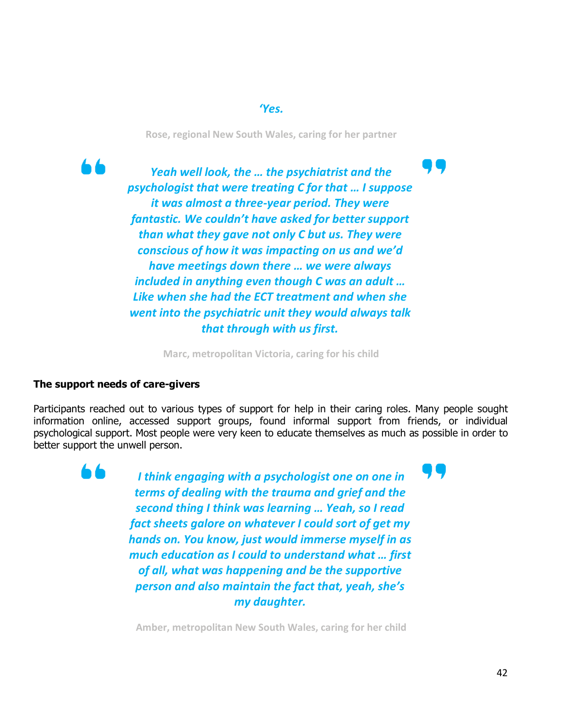#### *'Yes.*

**Rose, regional New South Wales, caring for her partner**

*Yeah well look, the … the psychiatrist and the psychologist that were treating C for that … I suppose it was almost a three-year period. They were fantastic. We couldn't have asked for better support than what they gave not only C but us. They were conscious of how it was impacting on us and we'd have meetings down there … we were always included in anything even though C was an adult … Like when she had the ECT treatment and when she went into the psychiatric unit they would always talk that through with us first.*

**Marc, metropolitan Victoria, caring for his child**

#### **The support needs of care-givers**

Participants reached out to various types of support for help in their caring roles. Many people sought information online, accessed support groups, found informal support from friends, or individual psychological support. Most people were very keen to educate themselves as much as possible in order to better support the unwell person.

- 6

*I think engaging with a psychologist one on one in terms of dealing with the trauma and grief and the second thing I think was learning … Yeah, so I read fact sheets galore on whatever I could sort of get my hands on. You know, just would immerse myself in as much education as I could to understand what … first of all, what was happening and be the supportive person and also maintain the fact that, yeah, she's my daughter.*

**Amber, metropolitan New South Wales, caring for her child**

JL,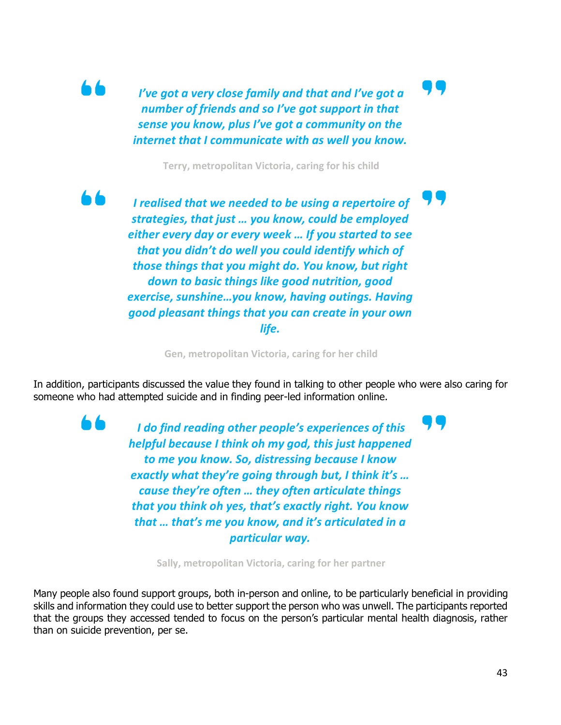*I've got a very close family and that and I've got a number of friends and so I've got support in that sense you know, plus I've got a community on the internet that I communicate with as well you know.*

74

**Terry, metropolitan Victoria, caring for his child**

*I realised that we needed to be using a repertoire of strategies, that just … you know, could be employed either every day or every week … If you started to see that you didn't do well you could identify which of those things that you might do. You know, but right down to basic things like good nutrition, good exercise, sunshine…you know, having outings. Having good pleasant things that you can create in your own life.*

**Gen, metropolitan Victoria, caring for her child**

In addition, participants discussed the value they found in talking to other people who were also caring for someone who had attempted suicide and in finding peer-led information online.

> *I do find reading other people's experiences of this helpful because I think oh my god, this just happened to me you know. So, distressing because I know exactly what they're going through but, I think it's … cause they're often … they often articulate things that you think oh yes, that's exactly right. You know that … that's me you know, and it's articulated in a particular way.*

> > **Sally, metropolitan Victoria, caring for her partner**

Many people also found support groups, both in-person and online, to be particularly beneficial in providing skills and information they could use to better support the person who was unwell. The participants reported that the groups they accessed tended to focus on the person's particular mental health diagnosis, rather than on suicide prevention, per se.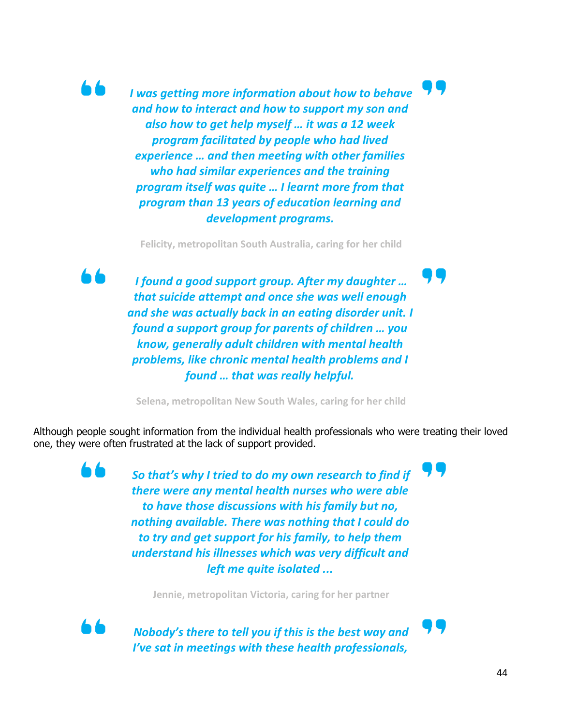*I was getting more information about how to behave and how to interact and how to support my son and also how to get help myself … it was a 12 week program facilitated by people who had lived experience … and then meeting with other families who had similar experiences and the training program itself was quite … I learnt more from that program than 13 years of education learning and development programs.*

**Felicity, metropolitan South Australia, caring for her child**

*I found a good support group. After my daughter … that suicide attempt and once she was well enough and she was actually back in an eating disorder unit. I found a support group for parents of children … you know, generally adult children with mental health problems, like chronic mental health problems and I found … that was really helpful.*

**Selena, metropolitan New South Wales, caring for her child**

Although people sought information from the individual health professionals who were treating their loved one, they were often frustrated at the lack of support provided.

*So that's why I tried to do my own research to find if there were any mental health nurses who were able to have those discussions with his family but no, nothing available. There was nothing that I could do to try and get support for his family, to help them understand his illnesses which was very difficult and left me quite isolated ...*

**Jennie, metropolitan Victoria, caring for her partner**



*Nobody's there to tell you if this is the best way and I've sat in meetings with these health professionals,*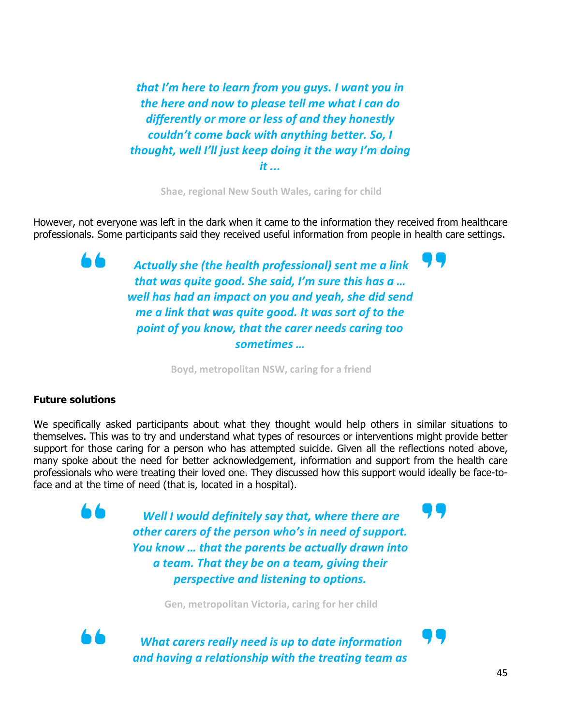*that I'm here to learn from you guys. I want you in the here and now to please tell me what I can do differently or more or less of and they honestly couldn't come back with anything better. So, I thought, well I'll just keep doing it the way I'm doing it ...*

**Shae, regional New South Wales, caring for child**

However, not everyone was left in the dark when it came to the information they received from healthcare professionals. Some participants said they received useful information from people in health care settings.

> *Actually she (the health professional) sent me a link that was quite good. She said, I'm sure this has a … well has had an impact on you and yeah, she did send me a link that was quite good. It was sort of to the point of you know, that the carer needs caring too sometimes …*

> > **Boyd, metropolitan NSW, caring for a friend**

#### **Future solutions**

۸.

We specifically asked participants about what they thought would help others in similar situations to themselves. This was to try and understand what types of resources or interventions might provide better support for those caring for a person who has attempted suicide. Given all the reflections noted above, many spoke about the need for better acknowledgement, information and support from the health care professionals who were treating their loved one. They discussed how this support would ideally be face-toface and at the time of need (that is, located in a hospital).

> *Well I would definitely say that, where there are other carers of the person who's in need of support. You know … that the parents be actually drawn into a team. That they be on a team, giving their perspective and listening to options.*

> > **Gen, metropolitan Victoria, caring for her child**

- 6

*What carers really need is up to date information and having a relationship with the treating team as*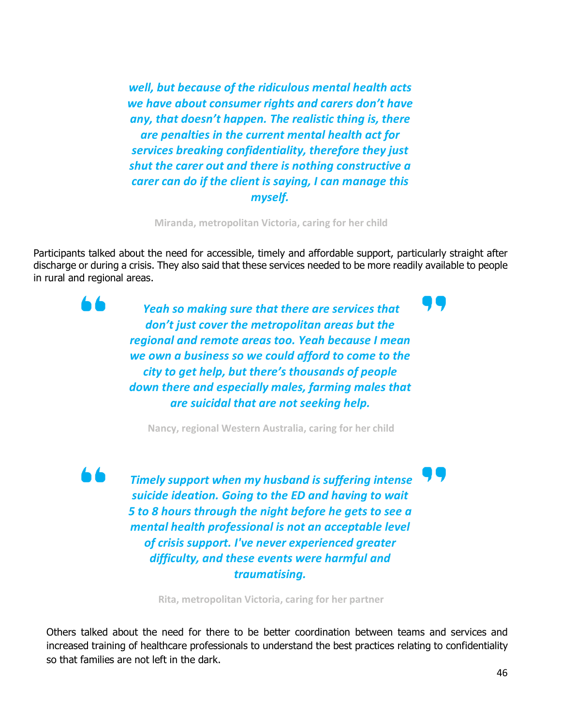*well, but because of the ridiculous mental health acts we have about consumer rights and carers don't have any, that doesn't happen. The realistic thing is, there are penalties in the current mental health act for services breaking confidentiality, therefore they just shut the carer out and there is nothing constructive a carer can do if the client is saying, I can manage this myself.*

**Miranda, metropolitan Victoria, caring for her child**

Participants talked about the need for accessible, timely and affordable support, particularly straight after discharge or during a crisis. They also said that these services needed to be more readily available to people in rural and regional areas.

> *Yeah so making sure that there are services that don't just cover the metropolitan areas but the regional and remote areas too. Yeah because I mean we own a business so we could afford to come to the city to get help, but there's thousands of people down there and especially males, farming males that are suicidal that are not seeking help.*

**Nancy, regional Western Australia, caring for her child**

*Timely support when my husband is suffering intense suicide ideation. Going to the ED and having to wait 5 to 8 hours through the night before he gets to see a mental health professional is not an acceptable level of crisis support. I've never experienced greater difficulty, and these events were harmful and traumatising.*

**Rita, metropolitan Victoria, caring for her partner**

Others talked about the need for there to be better coordination between teams and services and increased training of healthcare professionals to understand the best practices relating to confidentiality so that families are not left in the dark.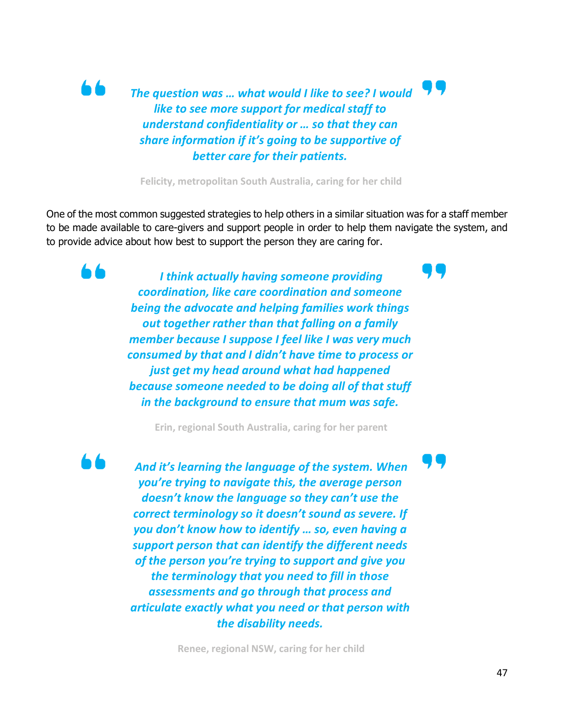*The question was … what would I like to see? I would like to see more support for medical staff to understand confidentiality or … so that they can share information if it's going to be supportive of better care for their patients.*

**Felicity, metropolitan South Australia, caring for her child**

One of the most common suggested strategies to help others in a similar situation was for a staff member to be made available to care-givers and support people in order to help them navigate the system, and to provide advice about how best to support the person they are caring for.

> *I think actually having someone providing coordination, like care coordination and someone being the advocate and helping families work things out together rather than that falling on a family member because I suppose I feel like I was very much consumed by that and I didn't have time to process or just get my head around what had happened because someone needed to be doing all of that stuff in the background to ensure that mum was safe.*

**Erin, regional South Australia, caring for her parent**

*And it's learning the language of the system. When you're trying to navigate this, the average person doesn't know the language so they can't use the correct terminology so it doesn't sound as severe. If you don't know how to identify … so, even having a support person that can identify the different needs of the person you're trying to support and give you the terminology that you need to fill in those assessments and go through that process and articulate exactly what you need or that person with the disability needs.*

**Renee, regional NSW, caring for her child**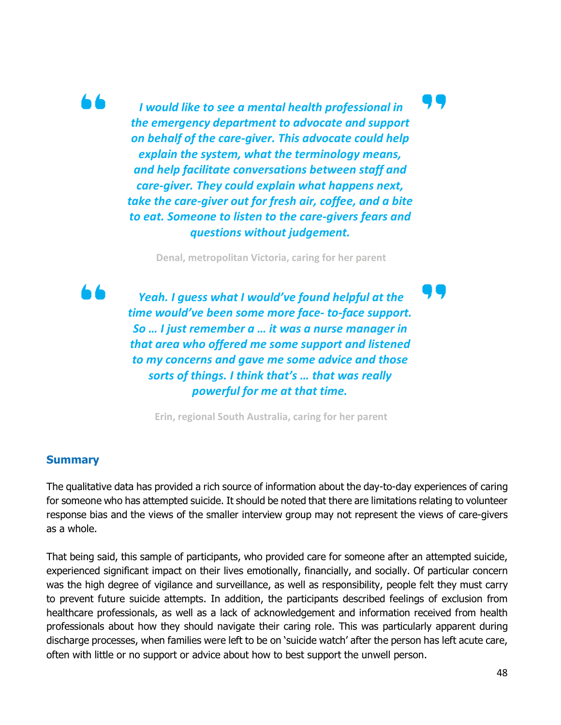*I would like to see a mental health professional in the emergency department to advocate and support* 

*on behalf of the care-giver. This advocate could help explain the system, what the terminology means, and help facilitate conversations between staff and care-giver. They could explain what happens next, take the care-giver out for fresh air, coffee, and a bite to eat. Someone to listen to the care-givers fears and questions without judgement.*

**Denal, metropolitan Victoria, caring for her parent**

*Yeah. I guess what I would've found helpful at the time would've been some more face- to-face support. So … I just remember a … it was a nurse manager in that area who offered me some support and listened to my concerns and gave me some advice and those sorts of things. I think that's … that was really powerful for me at that time.*

**Erin, regional South Australia, caring for her parent**

### **Summary**

The qualitative data has provided a rich source of information about the day-to-day experiences of caring for someone who has attempted suicide. It should be noted that there are limitations relating to volunteer response bias and the views of the smaller interview group may not represent the views of care-givers as a whole.

That being said, this sample of participants, who provided care for someone after an attempted suicide, experienced significant impact on their lives emotionally, financially, and socially. Of particular concern was the high degree of vigilance and surveillance, as well as responsibility, people felt they must carry to prevent future suicide attempts. In addition, the participants described feelings of exclusion from healthcare professionals, as well as a lack of acknowledgement and information received from health professionals about how they should navigate their caring role. This was particularly apparent during discharge processes, when families were left to be on 'suicide watch' after the person has left acute care, often with little or no support or advice about how to best support the unwell person.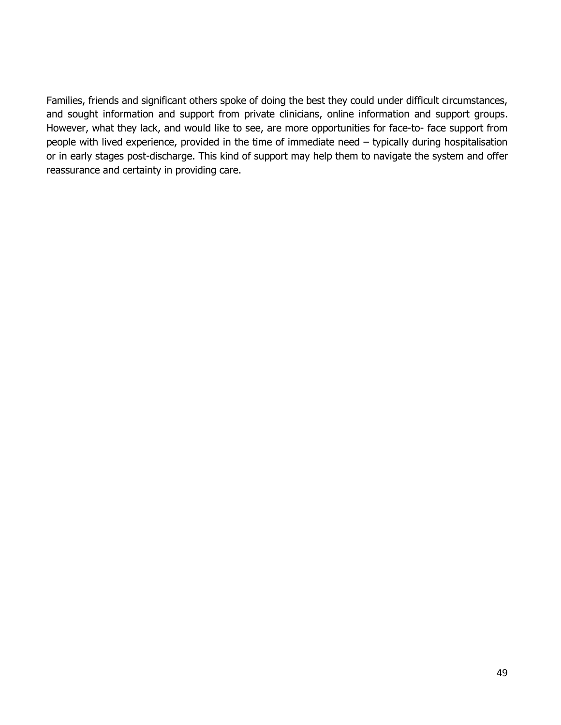Families, friends and significant others spoke of doing the best they could under difficult circumstances, and sought information and support from private clinicians, online information and support groups. However, what they lack, and would like to see, are more opportunities for face-to- face support from people with lived experience, provided in the time of immediate need – typically during hospitalisation or in early stages post-discharge. This kind of support may help them to navigate the system and offer reassurance and certainty in providing care.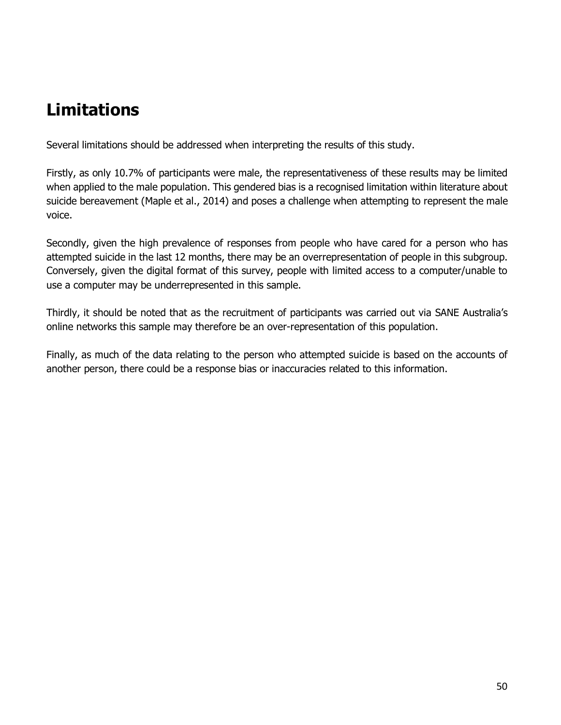# **Limitations**

Several limitations should be addressed when interpreting the results of this study.

Firstly, as only 10.7% of participants were male, the representativeness of these results may be limited when applied to the male population. This gendered bias is a recognised limitation within literature about suicide bereavement (Maple et al., 2014) and poses a challenge when attempting to represent the male voice.

Secondly, given the high prevalence of responses from people who have cared for a person who has attempted suicide in the last 12 months, there may be an overrepresentation of people in this subgroup. Conversely, given the digital format of this survey, people with limited access to a computer/unable to use a computer may be underrepresented in this sample.

Thirdly, it should be noted that as the recruitment of participants was carried out via SANE Australia's online networks this sample may therefore be an over-representation of this population.

Finally, as much of the data relating to the person who attempted suicide is based on the accounts of another person, there could be a response bias or inaccuracies related to this information.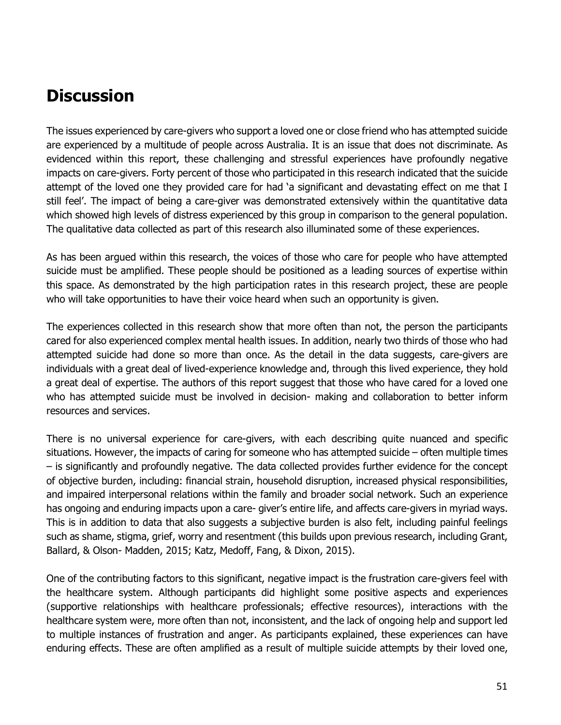# **Discussion**

The issues experienced by care-givers who support a loved one or close friend who has attempted suicide are experienced by a multitude of people across Australia. It is an issue that does not discriminate. As evidenced within this report, these challenging and stressful experiences have profoundly negative impacts on care-givers. Forty percent of those who participated in this research indicated that the suicide attempt of the loved one they provided care for had 'a significant and devastating effect on me that I still feel'. The impact of being a care-giver was demonstrated extensively within the quantitative data which showed high levels of distress experienced by this group in comparison to the general population. The qualitative data collected as part of this research also illuminated some of these experiences.

As has been argued within this research, the voices of those who care for people who have attempted suicide must be amplified. These people should be positioned as a leading sources of expertise within this space. As demonstrated by the high participation rates in this research project, these are people who will take opportunities to have their voice heard when such an opportunity is given.

The experiences collected in this research show that more often than not, the person the participants cared for also experienced complex mental health issues. In addition, nearly two thirds of those who had attempted suicide had done so more than once. As the detail in the data suggests, care-givers are individuals with a great deal of lived-experience knowledge and, through this lived experience, they hold a great deal of expertise. The authors of this report suggest that those who have cared for a loved one who has attempted suicide must be involved in decision- making and collaboration to better inform resources and services.

There is no universal experience for care-givers, with each describing quite nuanced and specific situations. However, the impacts of caring for someone who has attempted suicide – often multiple times – is significantly and profoundly negative. The data collected provides further evidence for the concept of objective burden, including: financial strain, household disruption, increased physical responsibilities, and impaired interpersonal relations within the family and broader social network. Such an experience has ongoing and enduring impacts upon a care- giver's entire life, and affects care-givers in myriad ways. This is in addition to data that also suggests a subjective burden is also felt, including painful feelings such as shame, stigma, grief, worry and resentment (this builds upon previous research, including Grant, Ballard, & Olson- Madden, 2015; Katz, Medoff, Fang, & Dixon, 2015).

One of the contributing factors to this significant, negative impact is the frustration care-givers feel with the healthcare system. Although participants did highlight some positive aspects and experiences (supportive relationships with healthcare professionals; effective resources), interactions with the healthcare system were, more often than not, inconsistent, and the lack of ongoing help and support led to multiple instances of frustration and anger. As participants explained, these experiences can have enduring effects. These are often amplified as a result of multiple suicide attempts by their loved one,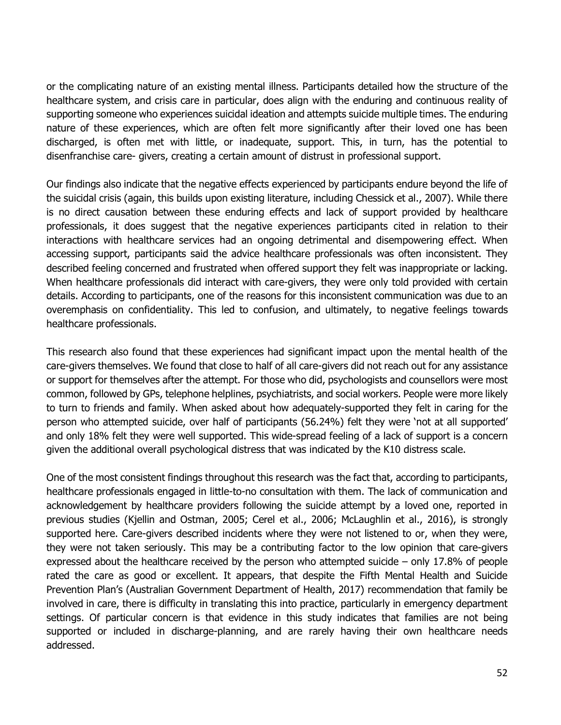or the complicating nature of an existing mental illness. Participants detailed how the structure of the healthcare system, and crisis care in particular, does align with the enduring and continuous reality of supporting someone who experiences suicidal ideation and attempts suicide multiple times. The enduring nature of these experiences, which are often felt more significantly after their loved one has been discharged, is often met with little, or inadequate, support. This, in turn, has the potential to disenfranchise care- givers, creating a certain amount of distrust in professional support.

Our findings also indicate that the negative effects experienced by participants endure beyond the life of the suicidal crisis (again, this builds upon existing literature, including Chessick et al., 2007). While there is no direct causation between these enduring effects and lack of support provided by healthcare professionals, it does suggest that the negative experiences participants cited in relation to their interactions with healthcare services had an ongoing detrimental and disempowering effect. When accessing support, participants said the advice healthcare professionals was often inconsistent. They described feeling concerned and frustrated when offered support they felt was inappropriate or lacking. When healthcare professionals did interact with care-givers, they were only told provided with certain details. According to participants, one of the reasons for this inconsistent communication was due to an overemphasis on confidentiality. This led to confusion, and ultimately, to negative feelings towards healthcare professionals.

This research also found that these experiences had significant impact upon the mental health of the care-givers themselves. We found that close to half of all care-givers did not reach out for any assistance or support for themselves after the attempt. For those who did, psychologists and counsellors were most common, followed by GPs, telephone helplines, psychiatrists, and social workers. People were more likely to turn to friends and family. When asked about how adequately-supported they felt in caring for the person who attempted suicide, over half of participants (56.24%) felt they were 'not at all supported' and only 18% felt they were well supported. This wide-spread feeling of a lack of support is a concern given the additional overall psychological distress that was indicated by the K10 distress scale.

One of the most consistent findings throughout this research was the fact that, according to participants, healthcare professionals engaged in little-to-no consultation with them. The lack of communication and acknowledgement by healthcare providers following the suicide attempt by a loved one, reported in previous studies (Kjellin and Ostman, 2005; Cerel et al., 2006; McLaughlin et al., 2016), is strongly supported here. Care-givers described incidents where they were not listened to or, when they were, they were not taken seriously. This may be a contributing factor to the low opinion that care-givers expressed about the healthcare received by the person who attempted suicide – only 17.8% of people rated the care as good or excellent. It appears, that despite the Fifth Mental Health and Suicide Prevention Plan's (Australian Government Department of Health, 2017) recommendation that family be involved in care, there is difficulty in translating this into practice, particularly in emergency department settings. Of particular concern is that evidence in this study indicates that families are not being supported or included in discharge-planning, and are rarely having their own healthcare needs addressed.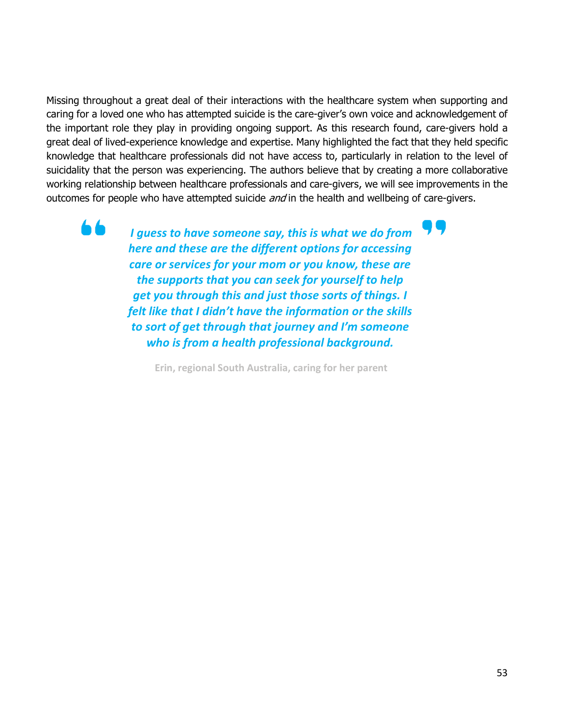Missing throughout a great deal of their interactions with the healthcare system when supporting and caring for a loved one who has attempted suicide is the care-giver's own voice and acknowledgement of the important role they play in providing ongoing support. As this research found, care-givers hold a great deal of lived-experience knowledge and expertise. Many highlighted the fact that they held specific knowledge that healthcare professionals did not have access to, particularly in relation to the level of suicidality that the person was experiencing. The authors believe that by creating a more collaborative working relationship between healthcare professionals and care-givers, we will see improvements in the outcomes for people who have attempted suicide *and* in the health and wellbeing of care-givers.

66

*I guess to have someone say, this is what we do from here and these are the different options for accessing care or services for your mom or you know, these are the supports that you can seek for yourself to help get you through this and just those sorts of things. I felt like that I didn't have the information or the skills to sort of get through that journey and I'm someone who is from a health professional background.*

**Erin, regional South Australia, caring for her parent**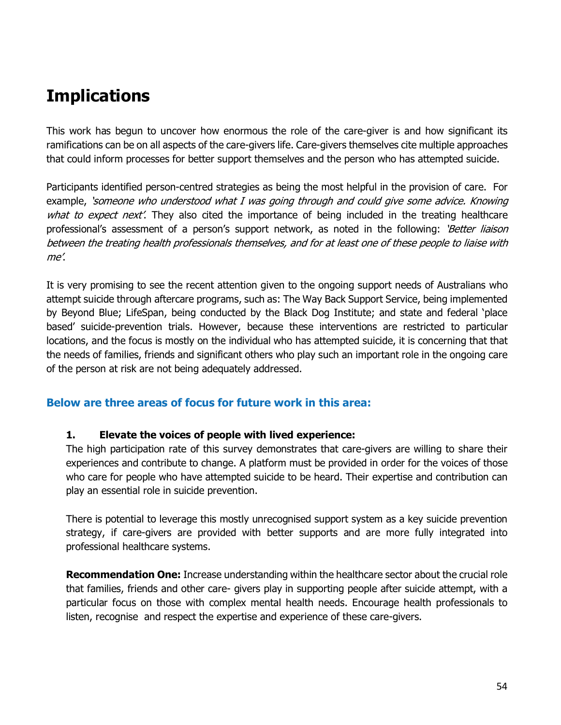# **Implications**

This work has begun to uncover how enormous the role of the care-giver is and how significant its ramifications can be on all aspects of the care-givers life. Care-givers themselves cite multiple approaches that could inform processes for better support themselves and the person who has attempted suicide.

Participants identified person-centred strategies as being the most helpful in the provision of care. For example, 'someone who understood what I was going through and could give some advice. Knowing what to expect next'. They also cited the importance of being included in the treating healthcare professional's assessment of a person's support network, as noted in the following: 'Better liaison between the treating health professionals themselves, and for at least one of these people to liaise with me'.

It is very promising to see the recent attention given to the ongoing support needs of Australians who attempt suicide through aftercare programs, such as: The Way Back Support Service, being implemented by Beyond Blue; LifeSpan, being conducted by the Black Dog Institute; and state and federal 'place based' suicide-prevention trials. However, because these interventions are restricted to particular locations, and the focus is mostly on the individual who has attempted suicide, it is concerning that that the needs of families, friends and significant others who play such an important role in the ongoing care of the person at risk are not being adequately addressed.

### **Below are three areas of focus for future work in this area:**

#### **1. Elevate the voices of people with lived experience:**

The high participation rate of this survey demonstrates that care-givers are willing to share their experiences and contribute to change. A platform must be provided in order for the voices of those who care for people who have attempted suicide to be heard. Their expertise and contribution can play an essential role in suicide prevention.

There is potential to leverage this mostly unrecognised support system as a key suicide prevention strategy, if care-givers are provided with better supports and are more fully integrated into professional healthcare systems.

**Recommendation One:** Increase understanding within the healthcare sector about the crucial role that families, friends and other care- givers play in supporting people after suicide attempt, with a particular focus on those with complex mental health needs. Encourage health professionals to listen, recognise and respect the expertise and experience of these care-givers.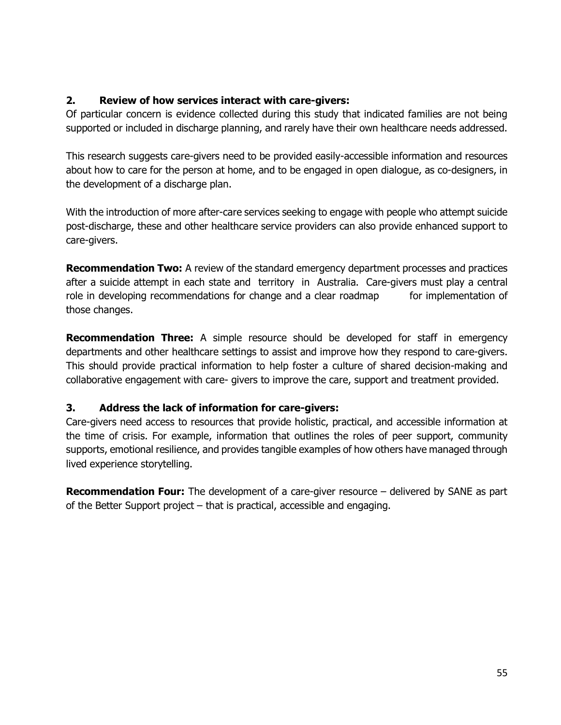### **2. Review of how services interact with care-givers:**

Of particular concern is evidence collected during this study that indicated families are not being supported or included in discharge planning, and rarely have their own healthcare needs addressed.

This research suggests care-givers need to be provided easily-accessible information and resources about how to care for the person at home, and to be engaged in open dialogue, as co-designers, in the development of a discharge plan.

With the introduction of more after-care services seeking to engage with people who attempt suicide post-discharge, these and other healthcare service providers can also provide enhanced support to care-givers.

**Recommendation Two:** A review of the standard emergency department processes and practices after a suicide attempt in each state and territory in Australia. Care-givers must play a central role in developing recommendations for change and a clear roadmap for implementation of those changes.

**Recommendation Three:** A simple resource should be developed for staff in emergency departments and other healthcare settings to assist and improve how they respond to care-givers. This should provide practical information to help foster a culture of shared decision-making and collaborative engagement with care- givers to improve the care, support and treatment provided.

## **3. Address the lack of information for care-givers:**

Care-givers need access to resources that provide holistic, practical, and accessible information at the time of crisis. For example, information that outlines the roles of peer support, community supports, emotional resilience, and provides tangible examples of how others have managed through lived experience storytelling.

**Recommendation Four:** The development of a care-giver resource – delivered by SANE as part of the Better Support project – that is practical, accessible and engaging.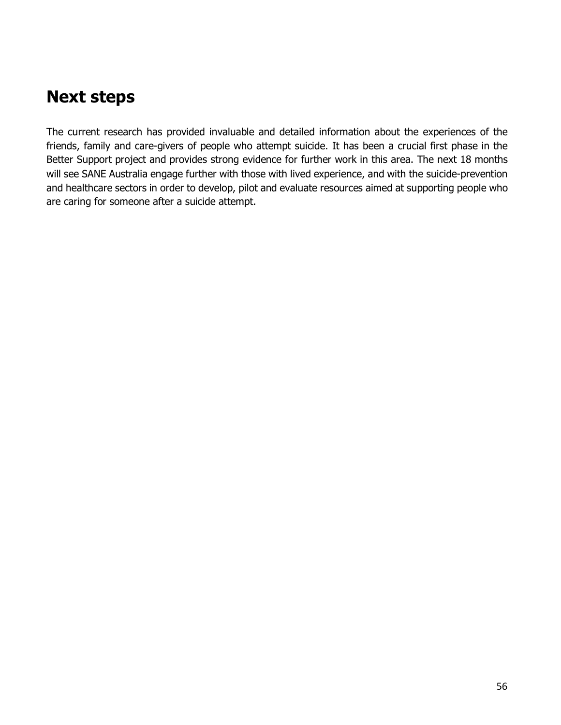# **Next steps**

The current research has provided invaluable and detailed information about the experiences of the friends, family and care-givers of people who attempt suicide. It has been a crucial first phase in the Better Support project and provides strong evidence for further work in this area. The next 18 months will see SANE Australia engage further with those with lived experience, and with the suicide-prevention and healthcare sectors in order to develop, pilot and evaluate resources aimed at supporting people who are caring for someone after a suicide attempt.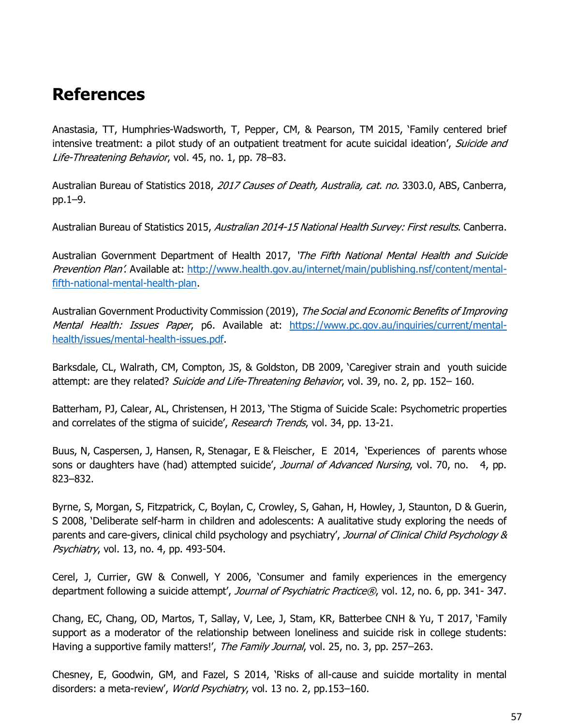## **References**

Anastasia, TT, Humphries-Wadsworth, T, Pepper, CM, & Pearson, TM 2015, 'Family centered brief intensive treatment: a pilot study of an outpatient treatment for acute suicidal ideation', Suicide and Life-Threatening Behavior, vol. 45, no. 1, pp. 78–83.

Australian Bureau of Statistics 2018, 2017 Causes of Death, Australia, cat. no. 3303.0, ABS, Canberra, pp.1–9.

Australian Bureau of Statistics 2015, Australian 2014-15 National Health Survey: First results. Canberra.

Australian Government Department of Health 2017, 'The Fifth National Mental Health and Suicide Prevention Plan'. Available at: http://www.health.gov.au/internet/main/publishing.nsf/content/mentalfifth-national-mental-health-plan.

Australian Government Productivity Commission (2019), The Social and Economic Benefits of Improving Mental Health: Issues Paper, p6. Available at: https://www.pc.gov.au/inquiries/current/mentalhealth/issues/mental-health-issues.pdf.

Barksdale, CL, Walrath, CM, Compton, JS, & Goldston, DB 2009, 'Caregiver strain and youth suicide attempt: are they related? Suicide and Life-Threatening Behavior, vol. 39, no. 2, pp. 152–160.

Batterham, PJ, Calear, AL, Christensen, H 2013, 'The Stigma of Suicide Scale: Psychometric properties and correlates of the stigma of suicide', Research Trends, vol. 34, pp. 13-21.

Buus, N, Caspersen, J, Hansen, R, Stenagar, E & Fleischer, E 2014, 'Experiences of parents whose sons or daughters have (had) attempted suicide', *Journal of Advanced Nursing*, vol. 70, no. 4, pp. 823–832.

Byrne, S, Morgan, S, Fitzpatrick, C, Boylan, C, Crowley, S, Gahan, H, Howley, J, Staunton, D & Guerin, S 2008, 'Deliberate self-harm in children and adolescents: A aualitative study exploring the needs of parents and care-givers, clinical child psychology and psychiatry', Journal of Clinical Child Psychology & Psychiatry, vol. 13, no. 4, pp. 493-504.

Cerel, J, Currier, GW & Conwell, Y 2006, 'Consumer and family experiences in the emergency department following a suicide attempt', Journal of Psychiatric Practice®, vol. 12, no. 6, pp. 341- 347.

Chang, EC, Chang, OD, Martos, T, Sallay, V, Lee, J, Stam, KR, Batterbee CNH & Yu, T 2017, 'Family support as a moderator of the relationship between loneliness and suicide risk in college students: Having a supportive family matters!', The Family Journal, vol. 25, no. 3, pp. 257–263.

Chesney, E, Goodwin, GM, and Fazel, S 2014, 'Risks of all-cause and suicide mortality in mental disorders: a meta-review', World Psychiatry, vol. 13 no. 2, pp.153-160.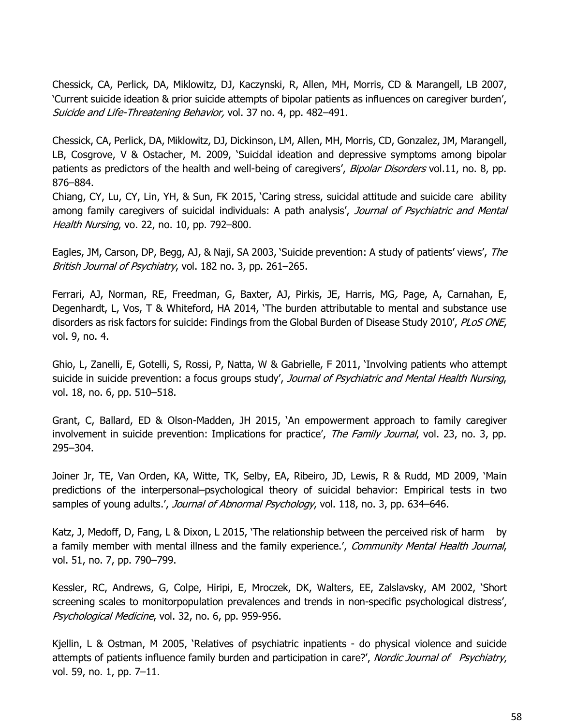Chessick, CA, Perlick, DA, Miklowitz, DJ, Kaczynski, R, Allen, MH, Morris, CD & Marangell, LB 2007, 'Current suicide ideation & prior suicide attempts of bipolar patients as influences on caregiver burden', Suicide and Life-Threatening Behavior, vol. 37 no. 4, pp. 482–491.

Chessick, CA, Perlick, DA, Miklowitz, DJ, Dickinson, LM, Allen, MH, Morris, CD, Gonzalez, JM, Marangell, LB, Cosgrove, V & Ostacher, M. 2009, 'Suicidal ideation and depressive symptoms among bipolar patients as predictors of the health and well-being of caregivers', Bipolar Disorders vol.11, no. 8, pp. 876–884.

Chiang, CY, Lu, CY, Lin, YH, & Sun, FK 2015, 'Caring stress, suicidal attitude and suicide care ability among family caregivers of suicidal individuals: A path analysis', Journal of Psychiatric and Mental Health Nursing, vo. 22, no. 10, pp. 792–800.

Eagles, JM, Carson, DP, Begg, AJ, & Naji, SA 2003, 'Suicide prevention: A study of patients' views', The British Journal of Psychiatry, vol. 182 no. 3, pp. 261-265.

Ferrari, AJ, Norman, RE, Freedman, G, Baxter, AJ, Pirkis, JE, Harris, MG, Page, A, Carnahan, E, Degenhardt, L, Vos, T & Whiteford, HA 2014, 'The burden attributable to mental and substance use disorders as risk factors for suicide: Findings from the Global Burden of Disease Study 2010', PLoS ONE, vol. 9, no. 4.

Ghio, L, Zanelli, E, Gotelli, S, Rossi, P, Natta, W & Gabrielle, F 2011, 'Involving patients who attempt suicide in suicide prevention: a focus groups study', Journal of Psychiatric and Mental Health Nursing, vol. 18, no. 6, pp. 510–518.

Grant, C, Ballard, ED & Olson-Madden, JH 2015, 'An empowerment approach to family caregiver involvement in suicide prevention: Implications for practice', The Family Journal, vol. 23, no. 3, pp. 295–304.

Joiner Jr, TE, Van Orden, KA, Witte, TK, Selby, EA, Ribeiro, JD, Lewis, R & Rudd, MD 2009, 'Main predictions of the interpersonal–psychological theory of suicidal behavior: Empirical tests in two samples of young adults.', Journal of Abnormal Psychology, vol. 118, no. 3, pp. 634–646.

Katz, J, Medoff, D, Fang, L & Dixon, L 2015, 'The relationship between the perceived risk of harm by a family member with mental illness and the family experience.', Community Mental Health Journal, vol. 51, no. 7, pp. 790–799.

Kessler, RC, Andrews, G, Colpe, Hiripi, E, Mroczek, DK, Walters, EE, Zalslavsky, AM 2002, 'Short screening scales to monitorpopulation prevalences and trends in non-specific psychological distress', Psychological Medicine, vol. 32, no. 6, pp. 959-956.

Kjellin, L & Ostman, M 2005, 'Relatives of psychiatric inpatients - do physical violence and suicide attempts of patients influence family burden and participation in care?', Nordic Journal of Psychiatry, vol. 59, no. 1, pp. 7–11.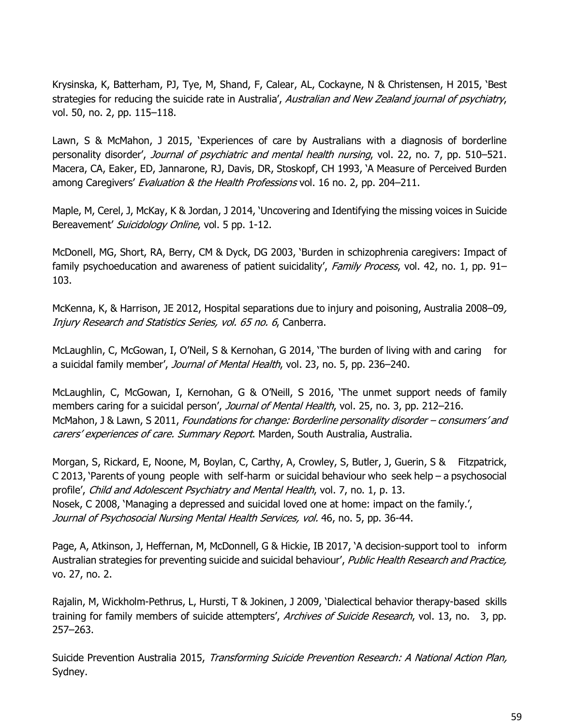Krysinska, K, Batterham, PJ, Tye, M, Shand, F, Calear, AL, Cockayne, N & Christensen, H 2015, 'Best strategies for reducing the suicide rate in Australia', Australian and New Zealand journal of psychiatry, vol. 50, no. 2, pp. 115–118.

Lawn, S & McMahon, J 2015, 'Experiences of care by Australians with a diagnosis of borderline personality disorder', Journal of psychiatric and mental health nursing, vol. 22, no. 7, pp. 510–521. Macera, CA, Eaker, ED, Jannarone, RJ, Davis, DR, Stoskopf, CH 1993, 'A Measure of Perceived Burden among Caregivers' Evaluation & the Health Professions vol. 16 no. 2, pp. 204–211.

Maple, M, Cerel, J, McKay, K & Jordan, J 2014, 'Uncovering and Identifying the missing voices in Suicide Bereavement' Suicidology Online, vol. 5 pp. 1-12.

McDonell, MG, Short, RA, Berry, CM & Dyck, DG 2003, 'Burden in schizophrenia caregivers: Impact of family psychoeducation and awareness of patient suicidality', Family Process, vol. 42, no. 1, pp. 91-103.

McKenna, K, & Harrison, JE 2012, Hospital separations due to injury and poisoning, Australia 2008–09, Injury Research and Statistics Series, vol. 65 no. 6, Canberra.

McLaughlin, C, McGowan, I, O'Neil, S & Kernohan, G 2014, 'The burden of living with and caring for a suicidal family member', Journal of Mental Health, vol. 23, no. 5, pp. 236–240.

McLaughlin, C, McGowan, I, Kernohan, G & O'Neill, S 2016, 'The unmet support needs of family members caring for a suicidal person', *Journal of Mental Health*, vol. 25, no. 3, pp. 212–216. McMahon, J & Lawn, S 2011, Foundations for change: Borderline personality disorder – consumers' and carers' experiences of care. Summary Report. Marden, South Australia, Australia.

Morgan, S, Rickard, E, Noone, M, Boylan, C, Carthy, A, Crowley, S, Butler, J, Guerin, S & Fitzpatrick, C 2013, 'Parents of young people with self-harm or suicidal behaviour who seek help – a psychosocial profile', *Child and Adolescent Psychiatry and Mental Health*, vol. 7, no. 1, p. 13. Nosek, C 2008, 'Managing a depressed and suicidal loved one at home: impact on the family.', Journal of Psychosocial Nursing Mental Health Services, vol. 46, no. 5, pp. 36-44.

Page, A, Atkinson, J, Heffernan, M, McDonnell, G & Hickie, IB 2017, 'A decision-support tool to inform Australian strategies for preventing suicide and suicidal behaviour', Public Health Research and Practice, vo. 27, no. 2.

Rajalin, M, Wickholm-Pethrus, L, Hursti, T & Jokinen, J 2009, 'Dialectical behavior therapy-based skills training for family members of suicide attempters', Archives of Suicide Research, vol. 13, no. 3, pp. 257–263.

Suicide Prevention Australia 2015, Transforming Suicide Prevention Research: A National Action Plan, Sydney.